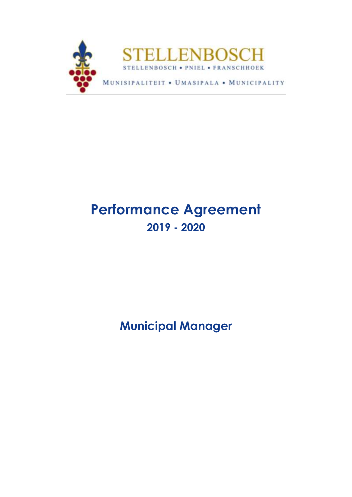

# **Performance Agreement 2019 - 2020**

**Municipal Manager**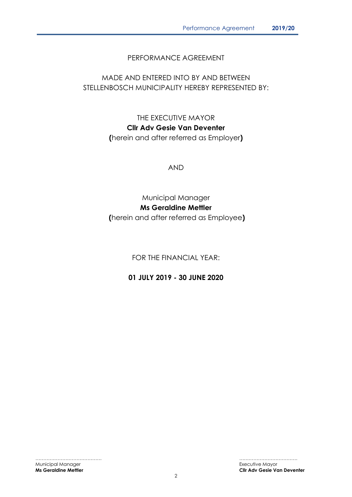## PERFORMANCE AGREEMENT

# MADE AND ENTERED INTO BY AND BETWEEN STELLENBOSCH MUNICIPALITY HEREBY REPRESENTED BY:

# THE EXECUTIVE MAYOR **Cllr Adv Gesie Van Deventer (**herein and after referred as Employer**)**

AND

Municipal Manager **Ms Geraldine Mettler (**herein and after referred as Employee**)**

FOR THE FINANCIAL YEAR:

**01 JULY 2019 - 30 JUNE 2020**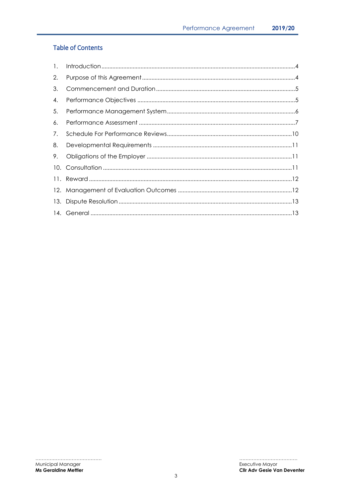## **Table of Contents**

| 1. |  |
|----|--|
| 2. |  |
| 3. |  |
| 4. |  |
| 5. |  |
| 6. |  |
| 7. |  |
| 8. |  |
| 9. |  |
|    |  |
|    |  |
|    |  |
|    |  |
|    |  |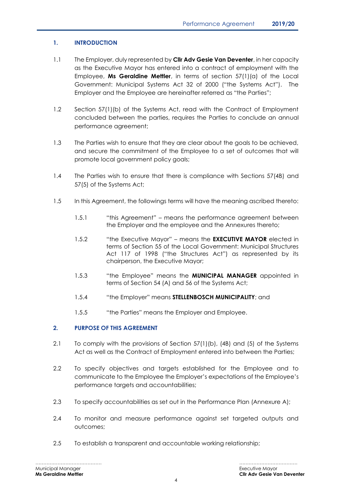### <span id="page-3-0"></span>**1. INTRODUCTION**

- 1.1 The Employer, duly represented by **Cllr Adv Gesie Van Deventer**, in her capacity as the Executive Mayor has entered into a contract of employment with the Employee, **Ms Geraldine Mettler**, in terms of section 57(1)(a) of the Local Government: Municipal Systems Act 32 of 2000 ("the Systems Act"). The Employer and the Employee are hereinafter referred as "the Parties";
- 1.2 Section 57(1)(b) of the Systems Act, read with the Contract of Employment concluded between the parties, requires the Parties to conclude an annual performance agreement;
- 1.3 The Parties wish to ensure that they are clear about the goals to be achieved, and secure the commitment of the Employee to a set of outcomes that will promote local government policy goals;
- 1.4 The Parties wish to ensure that there is compliance with Sections 57(4B) and 57(5) of the Systems Act;
- 1.5 In this Agreement, the followings terms will have the meaning ascribed thereto:
	- 1.5.1 "this Agreement" means the performance agreement between the Employer and the employee and the Annexures thereto;
	- 1.5.2 "the Executive Mayor" means the **EXECUTIVE MAYOR** elected in terms of Section 55 of the Local Government: Municipal Structures Act 117 of 1998 ("the Structures Act") as represented by its chairperson, the Executive Mayor;
	- 1.5.3 "the Employee" means the **MUNICIPAL MANAGER** appointed in terms of Section 54 (A) and 56 of the Systems Act;
	- 1.5.4 "the Employer" means **STELLENBOSCH MUNICIPALITY**; and
	- 1.5.5 "The Parties" means the Employer and Employee.

#### <span id="page-3-1"></span>**2. PURPOSE OF THIS AGREEMENT**

- 2.1 To comply with the provisions of Section 57(1)(b), (4B) and (5) of the Systems Act as well as the Contract of Employment entered into between the Parties;
- 2.2 To specify objectives and targets established for the Employee and to communicate to the Employee the Employer's expectations of the Employee's performance targets and accountabilities;
- 2.3 To specify accountabilities as set out in the Performance Plan (Annexure A);
- 2.4 To monitor and measure performance against set targeted outputs and outcomes;
- 2.5 To establish a transparent and accountable working relationship;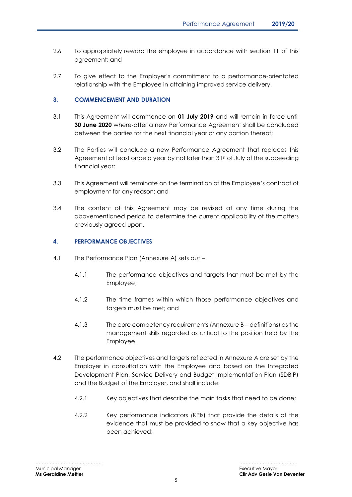- 2.6 To appropriately reward the employee in accordance with section 11 of this agreement; and
- 2.7 To give effect to the Employer's commitment to a performance-orientated relationship with the Employee in attaining improved service delivery.

#### <span id="page-4-0"></span>**3. COMMENCEMENT AND DURATION**

- 3.1 This Agreement will commence on **01 July 2019** and will remain in force until **30 June 2020** where-after a new Performance Agreement shall be concluded between the parties for the next financial year or any portion thereof;
- 3.2 The Parties will conclude a new Performance Agreement that replaces this Agreement at least once a year by not later than 31st of July of the succeeding financial year;
- 3.3 This Agreement will terminate on the termination of the Employee's contract of employment for any reason; and
- 3.4 The content of this Agreement may be revised at any time during the abovementioned period to determine the current applicability of the matters previously agreed upon.

#### <span id="page-4-1"></span>**4. PERFORMANCE OBJECTIVES**

- 4.1 The Performance Plan (Annexure A) sets out
	- 4.1.1 The performance objectives and targets that must be met by the Employee;
	- 4.1.2 The time frames within which those performance objectives and targets must be met; and
	- 4.1.3 The core competency requirements (Annexure B definitions) as the management skills regarded as critical to the position held by the Employee.
- 4.2 The performance objectives and targets reflected in Annexure A are set by the Employer in consultation with the Employee and based on the Integrated Development Plan, Service Delivery and Budget Implementation Plan (SDBIP) and the Budget of the Employer, and shall include:
	- 4.2.1 Key objectives that describe the main tasks that need to be done;
	- 4.2.2 Key performance indicators (KPIs) that provide the details of the evidence that must be provided to show that a key objective has been achieved;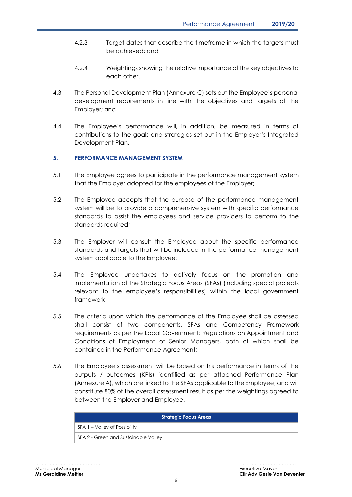- 4.2.3 Target dates that describe the timeframe in which the targets must be achieved; and
- 4.2.4 Weightings showing the relative importance of the key objectives to each other.
- 4.3 The Personal Development Plan (Annexure C) sets out the Employee's personal development requirements in line with the objectives and targets of the Employer; and
- 4.4 The Employee's performance will, in addition, be measured in terms of contributions to the goals and strategies set out in the Employer's Integrated Development Plan.

#### <span id="page-5-0"></span>**5. PERFORMANCE MANAGEMENT SYSTEM**

- 5.1 The Employee agrees to participate in the performance management system that the Employer adopted for the employees of the Employer;
- 5.2 The Employee accepts that the purpose of the performance management system will be to provide a comprehensive system with specific performance standards to assist the employees and service providers to perform to the standards required;
- 5.3 The Employer will consult the Employee about the specific performance standards and targets that will be included in the performance management system applicable to the Employee;
- 5.4 The Employee undertakes to actively focus on the promotion and implementation of the Strategic Focus Areas (SFAs) (including special projects relevant to the employee's responsibilities) within the local government framework;
- 5.5 The criteria upon which the performance of the Employee shall be assessed shall consist of two components, SFAs and Competency Framework requirements as per the Local Government: Regulations on Appointment and Conditions of Employment of Senior Managers, both of which shall be contained in the Performance Agreement;
- 5.6 The Employee's assessment will be based on his performance in terms of the outputs / outcomes (KPIs) identified as per attached Performance Plan (Annexure A), which are linked to the SFAs applicable to the Employee, and will constitute 80% of the overall assessment result as per the weightings agreed to between the Employer and Employee.

| <b>Strategic Focus Areas</b>         |
|--------------------------------------|
| SFA 1 – Valley of Possibility        |
| SFA 2 - Green and Sustainable Valley |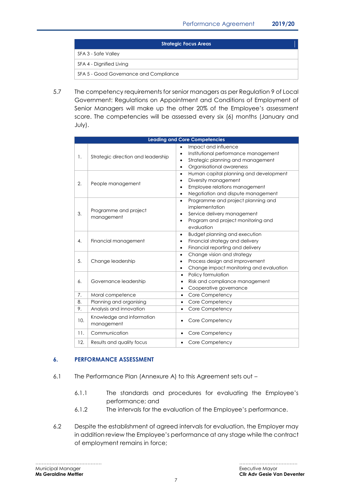|                          | <b>Strategic Focus Areas</b>           |
|--------------------------|----------------------------------------|
| SFA 3 - Safe Valley      |                                        |
| SFA 4 - Dignified Living |                                        |
|                          | SFA 5 - Good Governance and Compliance |

5.7 The competency requirements for senior managers as per Regulation 9 of Local Government: Regulations on Appointment and Conditions of Employment of Senior Managers will make up the other 20% of the Employee's assessment score. The competencies will be assessed every six (6) months (January and July).

|     | <b>Leading and Core Competencies</b>    |                                                                    |  |  |  |  |  |  |  |  |
|-----|-----------------------------------------|--------------------------------------------------------------------|--|--|--|--|--|--|--|--|
|     |                                         | Impact and influence<br>$\bullet$                                  |  |  |  |  |  |  |  |  |
| 1.  | Strategic direction and leadership      | Institutional performance management<br>$\bullet$                  |  |  |  |  |  |  |  |  |
|     |                                         | Strategic planning and management<br>٠                             |  |  |  |  |  |  |  |  |
|     |                                         | Organisational awareness<br>٠                                      |  |  |  |  |  |  |  |  |
|     |                                         | Human capital planning and development<br>$\bullet$                |  |  |  |  |  |  |  |  |
| 2.  | People management                       | Diversity management<br>$\bullet$<br>Employee relations management |  |  |  |  |  |  |  |  |
|     |                                         | ٠<br>Negotiation and dispute management<br>$\bullet$               |  |  |  |  |  |  |  |  |
|     |                                         | Programme and project planning and<br>$\bullet$                    |  |  |  |  |  |  |  |  |
|     |                                         | implementation                                                     |  |  |  |  |  |  |  |  |
| 3.  | Programme and project                   | Service delivery management<br>$\bullet$                           |  |  |  |  |  |  |  |  |
|     | management                              | Program and project monitoring and<br>٠                            |  |  |  |  |  |  |  |  |
|     |                                         | evaluation                                                         |  |  |  |  |  |  |  |  |
|     | Financial management                    | Budget planning and execution<br>٠                                 |  |  |  |  |  |  |  |  |
| 4.  |                                         | Financial strategy and delivery<br>$\bullet$                       |  |  |  |  |  |  |  |  |
|     |                                         | Financial reporting and delivery<br>$\bullet$                      |  |  |  |  |  |  |  |  |
|     |                                         | Change vision and strategy<br>$\bullet$                            |  |  |  |  |  |  |  |  |
| 5.  | Change leadership                       | Process design and improvement<br>$\bullet$                        |  |  |  |  |  |  |  |  |
|     |                                         | Change impact monitoring and evaluation<br>$\bullet$               |  |  |  |  |  |  |  |  |
|     |                                         | Policy formulation<br>$\bullet$                                    |  |  |  |  |  |  |  |  |
| 6.  | Governance leadership                   | Risk and compliance management<br>$\bullet$                        |  |  |  |  |  |  |  |  |
|     |                                         | Cooperative governance<br>$\bullet$                                |  |  |  |  |  |  |  |  |
| 7.  | Moral competence                        | Core Competency<br>$\bullet$                                       |  |  |  |  |  |  |  |  |
| 8.  | Planning and organising                 | Core Competency<br>$\bullet$                                       |  |  |  |  |  |  |  |  |
| 9.  | Analysis and innovation                 | Core Competency                                                    |  |  |  |  |  |  |  |  |
| 10. | Knowledge and information<br>management | Core Competency                                                    |  |  |  |  |  |  |  |  |
| 11. | Communication                           | Core Competency                                                    |  |  |  |  |  |  |  |  |
| 12. | Results and quality focus               | Core Competency<br>٠                                               |  |  |  |  |  |  |  |  |

### <span id="page-6-0"></span>**6. PERFORMANCE ASSESSMENT**

- 6.1 The Performance Plan (Annexure A) to this Agreement sets out
	- 6.1.1 The standards and procedures for evaluating the Employee's performance; and
	- 6.1.2 The intervals for the evaluation of the Employee's performance.
- 6.2 Despite the establishment of agreed intervals for evaluation, the Employer may in addition review the Employee's performance at any stage while the contract of employment remains in force;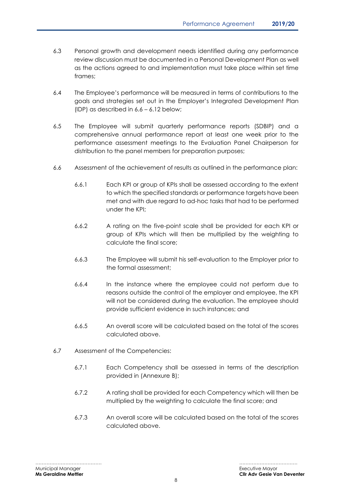- 6.3 Personal growth and development needs identified during any performance review discussion must be documented in a Personal Development Plan as well as the actions agreed to and implementation must take place within set time frames;
- 6.4 The Employee's performance will be measured in terms of contributions to the goals and strategies set out in the Employer's Integrated Development Plan (IDP) as described in 6.6 – 6.12 below;
- 6.5 The Employee will submit quarterly performance reports (SDBIP) and a comprehensive annual performance report at least one week prior to the performance assessment meetings to the Evaluation Panel Chairperson for distribution to the panel members for preparation purposes;
- 6.6 Assessment of the achievement of results as outlined in the performance plan:
	- 6.6.1 Each KPI or group of KPIs shall be assessed according to the extent to which the specified standards or performance targets have been met and with due regard to ad-hoc tasks that had to be performed under the KPI;
	- 6.6.2 A rating on the five-point scale shall be provided for each KPI or group of KPIs which will then be multiplied by the weighting to calculate the final score;
	- 6.6.3 The Employee will submit his self-evaluation to the Employer prior to the formal assessment;
	- 6.6.4 In the instance where the employee could not perform due to reasons outside the control of the employer and employee, the KPI will not be considered during the evaluation. The employee should provide sufficient evidence in such instances; and
	- 6.6.5 An overall score will be calculated based on the total of the scores calculated above.
- 6.7 Assessment of the Competencies:
	- 6.7.1 Each Competency shall be assessed in terms of the description provided in (Annexure B);
	- 6.7.2 A rating shall be provided for each Competency which will then be multiplied by the weighting to calculate the final score; and
	- 6.7.3 An overall score will be calculated based on the total of the scores calculated above.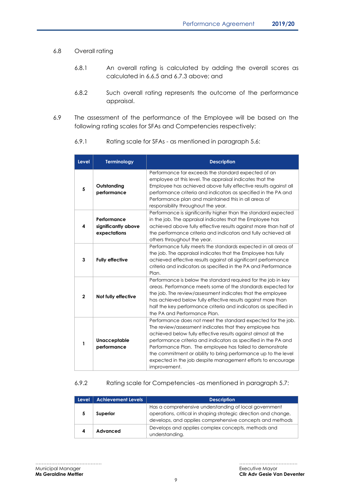- 6.8 Overall rating
	- 6.8.1 An overall rating is calculated by adding the overall scores as calculated in 6.6.5 and 6.7.3 above; and
	- 6.8.2 Such overall rating represents the outcome of the performance appraisal.
- 6.9 The assessment of the performance of the Employee will be based on the following rating scales for SFAs and Competencies respectively:
	- 6.9.1 Rating scale for SFAs as mentioned in paragraph 5.6:

| <b>Level</b> | <b>Terminology</b>                                 | <b>Description</b>                                                                                                                                                                                                                                                                                                                                                                                                                                                     |
|--------------|----------------------------------------------------|------------------------------------------------------------------------------------------------------------------------------------------------------------------------------------------------------------------------------------------------------------------------------------------------------------------------------------------------------------------------------------------------------------------------------------------------------------------------|
| 5            | Outstanding<br>performance                         | Performance far exceeds the standard expected of an<br>employee at this level. The appraisal indicates that the<br>Employee has achieved above fully effective results against all<br>performance criteria and indicators as specified in the PA and<br>Performance plan and maintained this in all areas of<br>responsibility throughout the year.                                                                                                                    |
| 4            | Performance<br>significantly above<br>expectations | Performance is significantly higher than the standard expected<br>in the job. The appraisal indicates that the Employee has<br>achieved above fully effective results against more than half of<br>the performance criteria and indicators and fully achieved all<br>others throughout the year.                                                                                                                                                                       |
| 3            | <b>Fully effective</b>                             | Performance fully meets the standards expected in all areas of<br>the job. The appraisal indicates that the Employee has fully<br>achieved effective results against all significant performance<br>criteria and indicators as specified in the PA and Performance<br>Plan.                                                                                                                                                                                            |
| $\mathbf{2}$ | Not fully effective                                | Performance is below the standard required for the job in key<br>areas. Performance meets some of the standards expected for<br>the job. The review/assessment indicates that the employee<br>has achieved below fully effective results against more than<br>half the key performance criteria and indicators as specified in<br>the PA and Performance Plan.                                                                                                         |
|              | Unacceptable<br>performance                        | Performance does not meet the standard expected for the job.<br>The review/assessment indicates that they employee has<br>achieved below fully effective results against almost all the<br>performance criteria and indicators as specified in the PA and<br>Performance Plan. The employee has failed to demonstrate<br>the commitment or ability to bring performance up to the level<br>expected in the job despite management efforts to encourage<br>improvement. |

#### 6.9.2 Rating scale for Competencies -as mentioned in paragraph 5.7:

| Level | Achievement Levels | <b>Description</b>                                                                                                                                                                   |
|-------|--------------------|--------------------------------------------------------------------------------------------------------------------------------------------------------------------------------------|
|       | Superior           | Has a comprehensive understanding of local government<br>operations, critical in shaping strategic direction and change,<br>develops, and applies comprehensive concepts and methods |
|       | Advanced           | Develops and applies complex concepts, methods and<br>understanding.                                                                                                                 |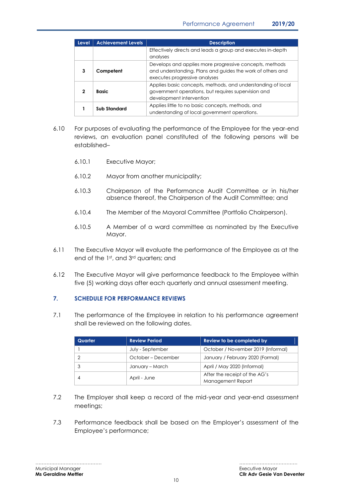| Level | <b>Achievement Levels</b> | <b>Description</b>                                                                                                                                     |
|-------|---------------------------|--------------------------------------------------------------------------------------------------------------------------------------------------------|
|       |                           | Effectively directs and leads a group and executes in-depth<br>analyses                                                                                |
| 3     | Competent                 | Develops and applies more progressive concepts, methods<br>and understanding. Plans and guides the work of others and<br>executes progressive analyses |
| າ     | <b>Basic</b>              | Applies basic concepts, methods, and understanding of local<br>government operations, but requires supervision and<br>development intervention         |
|       | <b>Sub Standard</b>       | Applies little to no basic concepts, methods, and<br>understanding of local government operations.                                                     |

- 6.10 For purposes of evaluating the performance of the Employee for the year-end reviews, an evaluation panel constituted of the following persons will be established–
	- 6.10.1 Executive Mayor;
	- 6.10.2 Mayor from another municipality;
	- 6.10.3 Chairperson of the Performance Audit Committee or in his/her absence thereof, the Chairperson of the Audit Committee; and
	- 6.10.4 The Member of the Mayoral Committee (Portfolio Chairperson).
	- 6.10.5 A Member of a ward committee as nominated by the Executive Mayor.
- 6.11 The Executive Mayor will evaluate the performance of the Employee as at the end of the 1st, and 3rd quarters; and
- 6.12 The Executive Mayor will give performance feedback to the Employee within five (5) working days after each quarterly and annual assessment meeting.

### <span id="page-9-0"></span>**7. SCHEDULE FOR PERFORMANCE REVIEWS**

7.1 The performance of the Employee in relation to his performance agreement shall be reviewed on the following dates.

| Quarter | <b>Review Period</b> | Review to be completed by          |  |  |  |  |
|---------|----------------------|------------------------------------|--|--|--|--|
|         | July - September     | October / November 2019 (Informal) |  |  |  |  |
|         | October – December   | January / February 2020 (Formal)   |  |  |  |  |
|         | January – March      | April / May 2020 (Informal)        |  |  |  |  |
|         | April - June         | After the receipt of the AG's      |  |  |  |  |
|         |                      | Management Report                  |  |  |  |  |

- 7.2 The Employer shall keep a record of the mid-year and year-end assessment meetings;
- 7.3 Performance feedback shall be based on the Employer's assessment of the Employee's performance;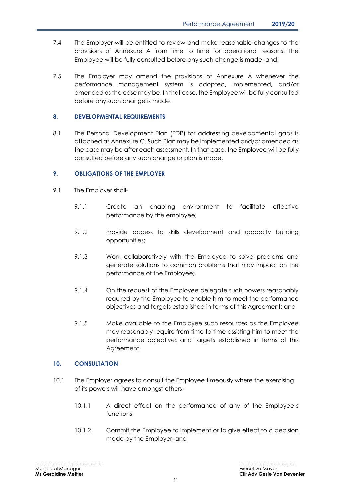- 7.4 The Employer will be entitled to review and make reasonable changes to the provisions of Annexure A from time to time for operational reasons. The Employee will be fully consulted before any such change is made; and
- 7.5 The Employer may amend the provisions of Annexure A whenever the performance management system is adopted, implemented, and/or amended as the case may be. In that case, the Employee will be fully consulted before any such change is made.

#### <span id="page-10-0"></span>**8. DEVELOPMENTAL REQUIREMENTS**

8.1 The Personal Development Plan (PDP) for addressing developmental gaps is attached as Annexure C. Such Plan may be implemented and/or amended as the case may be after each assessment. In that case, the Employee will be fully consulted before any such change or plan is made.

#### <span id="page-10-1"></span>**9. OBLIGATIONS OF THE EMPLOYER**

- 9.1 The Employer shall-
	- 9.1.1 Create an enabling environment to facilitate effective performance by the employee;
	- 9.1.2 Provide access to skills development and capacity building opportunities;
	- 9.1.3 Work collaboratively with the Employee to solve problems and generate solutions to common problems that may impact on the performance of the Employee;
	- 9.1.4 On the request of the Employee delegate such powers reasonably required by the Employee to enable him to meet the performance objectives and targets established in terms of this Agreement; and
	- 9.1.5 Make available to the Employee such resources as the Employee may reasonably require from time to time assisting him to meet the performance objectives and targets established in terms of this Agreement.

#### <span id="page-10-2"></span>**10. CONSULTATION**

- 10.1 The Employer agrees to consult the Employee timeously where the exercising of its powers will have amongst others-
	- 10.1.1 A direct effect on the performance of any of the Employee's functions;
	- 10.1.2 Commit the Employee to implement or to give effect to a decision made by the Employer; and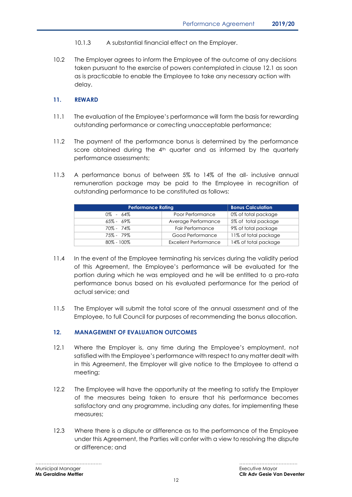- 10.1.3 A substantial financial effect on the Employer.
- 10.2 The Employer agrees to inform the Employee of the outcome of any decisions taken pursuant to the exercise of powers contemplated in clause 12.1 as soon as is practicable to enable the Employee to take any necessary action with delay.

#### <span id="page-11-0"></span>**11. REWARD**

- 11.1 The evaluation of the Employee's performance will form the basis for rewarding outstanding performance or correcting unacceptable performance;
- 11.2 The payment of the performance bonus is determined by the performance score obtained during the  $4<sup>th</sup>$  quarter and as informed by the quarterly performance assessments;
- 11.3 A performance bonus of between 5% to 14% of the all- inclusive annual remuneration package may be paid to the Employee in recognition of outstanding performance to be constituted as follows:

| <b>Performance Rating</b> |                         | <b>Bonus Calculation</b> |  |  |  |  |  |
|---------------------------|-------------------------|--------------------------|--|--|--|--|--|
| $0\% - 64\%$              | Poor Performance        | 0% of total package      |  |  |  |  |  |
| 65% - 69%                 | Average Performance     | 5% of total package      |  |  |  |  |  |
| 70% - 74%                 | <b>Fair Performance</b> | 9% of total package      |  |  |  |  |  |
| 75% - 79%                 | Good Performance        | 11% of total package     |  |  |  |  |  |
| $80\% - 100\%$            | Excellent Performance   | 14% of total package     |  |  |  |  |  |

- 11.4 In the event of the Employee terminating his services during the validity period of this Agreement, the Employee's performance will be evaluated for the portion during which he was employed and he will be entitled to a pro-rata performance bonus based on his evaluated performance for the period of actual service; and
- 11.5 The Employer will submit the total score of the annual assessment and of the Employee, to full Council for purposes of recommending the bonus allocation.

#### <span id="page-11-1"></span>**12. MANAGEMENT OF EVALUATION OUTCOMES**

- 12.1 Where the Employer is, any time during the Employee's employment, not satisfied with the Employee's performance with respect to any matter dealt with in this Agreement, the Employer will give notice to the Employee to attend a meeting;
- 12.2 The Employee will have the opportunity at the meeting to satisfy the Employer of the measures being taken to ensure that his performance becomes satisfactory and any programme, including any dates, for implementing these measures;
- 12.3 Where there is a dispute or difference as to the performance of the Employee under this Agreement, the Parties will confer with a view to resolving the dispute or difference; and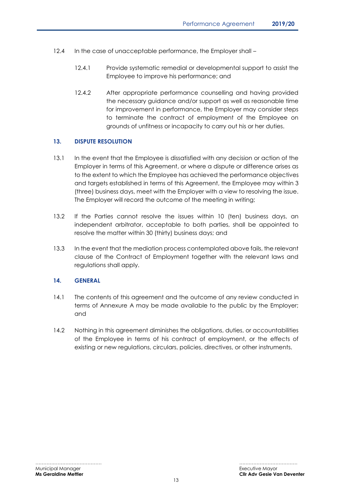- 12.4 In the case of unacceptable performance, the Employer shall
	- 12.4.1 Provide systematic remedial or developmental support to assist the Employee to improve his performance; and
	- 12.4.2 After appropriate performance counselling and having provided the necessary guidance and/or support as well as reasonable time for improvement in performance, the Employer may consider steps to terminate the contract of employment of the Employee on grounds of unfitness or incapacity to carry out his or her duties.

#### <span id="page-12-0"></span>**13. DISPUTE RESOLUTION**

- 13.1 In the event that the Employee is dissatisfied with any decision or action of the Employer in terms of this Agreement, or where a dispute or difference arises as to the extent to which the Employee has achieved the performance objectives and targets established in terms of this Agreement, the Employee may within 3 (three) business days, meet with the Employer with a view to resolving the issue. The Employer will record the outcome of the meeting in writing;
- 13.2 If the Parties cannot resolve the issues within 10 (ten) business days, an independent arbitrator, acceptable to both parties, shall be appointed to resolve the matter within 30 (thirty) business days; and
- 13.3 In the event that the mediation process contemplated above fails, the relevant clause of the Contract of Employment together with the relevant laws and regulations shall apply.

### <span id="page-12-1"></span>**14. GENERAL**

- 14.1 The contents of this agreement and the outcome of any review conducted in terms of Annexure A may be made available to the public by the Employer; and
- 14.2 Nothing in this agreement diminishes the obligations, duties, or accountabilities of the Employee in terms of his contract of employment, or the effects of existing or new regulations, circulars, policies, directives, or other instruments.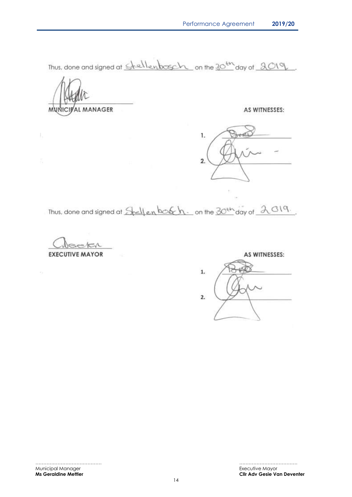Thus, done and signed at stallenbosch on the 30th day of 2019

 $\mathbb{I}$ 

 $\sim$ 

AL MANAGER **NICIE** M

AS WITNESSES:

1.  $2.$ 

Thus, done and signed at Stellen book h. on the 30<sup>th</sup> day of 2019.

**EXECUTIVE MAYOR** 

AS WITNESSES:  $1.$  $\overline{2}$ .

14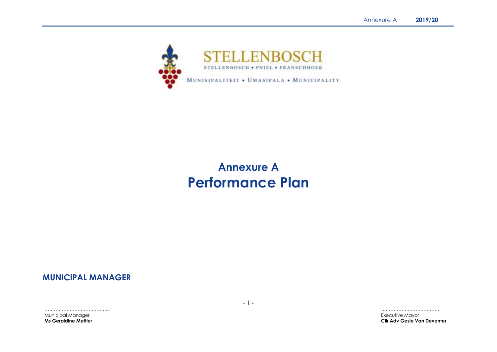

# **Annexure A Performance Plan**

# **MUNICIPAL MANAGER**

Municipal Manager **Ms Geraldine Mettler**

………………………………………

 ………………………………. Executive Mayor **Cllr Adv Gesie Van Deventer**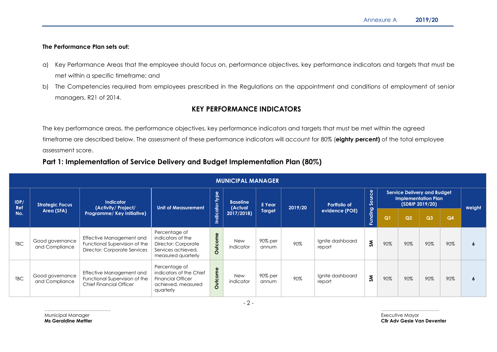#### **The Performance Plan sets out:**

- a) Key Performance Areas that the employee should focus on, performance objectives, key performance indicators and targets that must be met within a specific timeframe; and
- b) The Competencies required from employees prescribed in the Regulations on the appointment and conditions of employment of senior managers, R21 of 2014.

### **KEY PERFORMANCE INDICATORS**

The key performance areas, the performance objectives, key performance indicators and targets that must be met within the agreed timeframe are described below. The assessment of these performance indicators will account for 80% (**eighty percent)** of the total employee assessment score.

### **Part 1: Implementation of Service Delivery and Budget Implementation Plan (80%)**

|                    |                                      |                                                                                             |                                                                                                         |                | <b>MUNICIPAL MANAGER</b>   |                  |         |                                |                      |     |                                                                  |                 |                |               |
|--------------------|--------------------------------------|---------------------------------------------------------------------------------------------|---------------------------------------------------------------------------------------------------------|----------------|----------------------------|------------------|---------|--------------------------------|----------------------|-----|------------------------------------------------------------------|-----------------|----------------|---------------|
| IDP/<br>Ref<br>No. | <b>Strategic Focus</b><br>Area (SFA) | <b>Indicator</b><br>(Activity/Project/<br>Programme/Key Initiative)                         | <b>Unit of Measurement</b>                                                                              | Indicator type | <b>Baseline</b><br>(Actual | 5 Year<br>Target | 2019/20 | Portfolio of<br>evidence (POE) | ource<br>Ō.          |     | <b>Service Delivery and Budget</b><br><b>Implementation Plan</b> | (SDBIP 2019/20) |                | <b>Weight</b> |
|                    |                                      |                                                                                             |                                                                                                         |                | 2017/2018)                 |                  |         |                                | <b>unding</b>        | Q1  | Q2                                                               | Q <sub>3</sub>  | Q <sub>4</sub> |               |
| <b>TBC</b>         | Good governance<br>and Compliance    | Effective Management and<br>Functional Supervision of the<br>Director: Corporate Services   | Percentage of<br>indicators of the<br>Director: Corporate<br>Services achieved,<br>measured quarterly   | Outcome        | New<br>indicator           | 90% per<br>annum | 90%     | Ignite dashboard<br>report     | $\tilde{\mathbf{s}}$ | 90% | 90%                                                              | 90%             | 90%            |               |
| <b>TBC</b>         | Good governance<br>and Compliance    | Effective Management and<br>Functional Supervision of the<br><b>Chief Financial Officer</b> | Percentage of<br>indicators of the Chief<br><b>Financial Officer</b><br>achieved, measured<br>quarterly | Outcome        | New<br>indicator           | 90% per<br>annum | 90%     | Ignite dashboard<br>report     | $\mathbf{\tilde{s}}$ | 90% | 90%                                                              | 90%             | 90%            | $\bullet$     |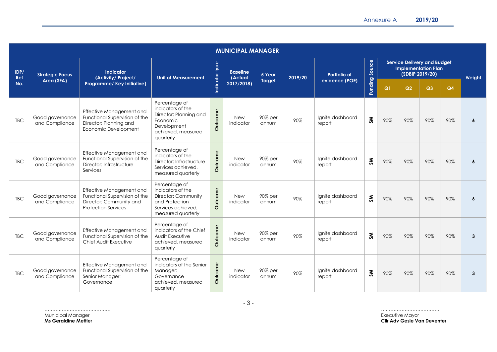|             | <b>MUNICIPAL MANAGER</b>          |                                                                                                                    |                                                                                                                            |                |                            |                  |         |                            |                       |     |                                                                                     |     |     |                  |
|-------------|-----------------------------------|--------------------------------------------------------------------------------------------------------------------|----------------------------------------------------------------------------------------------------------------------------|----------------|----------------------------|------------------|---------|----------------------------|-----------------------|-----|-------------------------------------------------------------------------------------|-----|-----|------------------|
| IDP/<br>Ref | <b>Strategic Focus</b>            | Indicator<br>(Activity/Project/                                                                                    | <b>Unit of Measurement</b>                                                                                                 | Indicator type | <b>Baseline</b><br>(Actual | 5 Year           | 2019/20 | Portfolio of               | <b>Funding Source</b> |     | <b>Service Delivery and Budget</b><br><b>Implementation Plan</b><br>(SDBIP 2019/20) |     |     | weight           |
| No.         | Area (SFA)                        | Programme/ Key Initiative)                                                                                         |                                                                                                                            |                | 2017/2018)                 | Target           |         | evidence (POE)             |                       | Q1  | Q2                                                                                  | Q3  | Q4  |                  |
| <b>TBC</b>  | Good governance<br>and Compliance | <b>Effective Management and</b><br>Functional Supervision of the<br>Director: Planning and<br>Economic Development | Percentage of<br>indicators of the<br>Director: Planning and<br>Economic<br>Development<br>achieved, measured<br>quarterly | Outcome        | <b>New</b><br>indicator    | 90% per<br>annum | 90%     | Ignite dashboard<br>report | $\mathbf{\tilde{s}}$  | 90% | 90%                                                                                 | 90% | 90% | $\boldsymbol{6}$ |
| <b>TBC</b>  | Good governance<br>and Compliance | <b>Effective Management and</b><br>Functional Supervision of the<br>Director: Infrastructure<br>Services           | Percentage of<br>indicators of the<br>Director: Infrastructure<br>Services achieved.<br>measured quarterly                 | Outcome        | <b>New</b><br>indicator    | 90% per<br>annum | 90%     | Ignite dashboard<br>report | $\tilde{\mathbf{s}}$  | 90% | 90%                                                                                 | 90% | 90% | $\boldsymbol{6}$ |
| <b>TBC</b>  | Good governance<br>and Compliance | Effective Management and<br>Functional Supervision of the<br>Director: Community and<br><b>Protection Services</b> | Percentage of<br>indicators of the<br>Director: Community<br>and Protection<br>Services achieved,<br>measured auarterly    | Outcome        | <b>New</b><br>indicator    | 90% per<br>annum | 90%     | Ignite dashboard<br>report | $\mathbf{\tilde{s}}$  | 90% | 90%                                                                                 | 90% | 90% | $\boldsymbol{6}$ |
| <b>TBC</b>  | Good governance<br>and Compliance | <b>Effective Management and</b><br>Functional Supervision of the<br>Chief Audit Executive                          | Percentage of<br>indicators of the Chief<br>Audit Executive<br>achieved, measured<br>quarterly                             | Outcome        | <b>New</b><br>indicator    | 90% per<br>annum | 90%     | Ignite dashboard<br>report | $\mathbf{\tilde{s}}$  | 90% | 90%                                                                                 | 90% | 90% | $\mathbf{3}$     |
| <b>TBC</b>  | Good governance<br>and Compliance | <b>Effective Management and</b><br>Functional Supervision of the<br>Senior Manager:<br>Governance                  | Percentage of<br>indicators of the Senior<br>Manager:<br>Governance<br>achieved, measured<br>quarterly                     | Outcome        | <b>New</b><br>indicator    | 90% per<br>annum | 90%     | Ignite dashboard<br>report | $\mathbf{\tilde{s}}$  | 90% | 90%                                                                                 | 90% | 90% | 3                |

…………………………………… Municipal Manager **Ms Geraldine Mettler**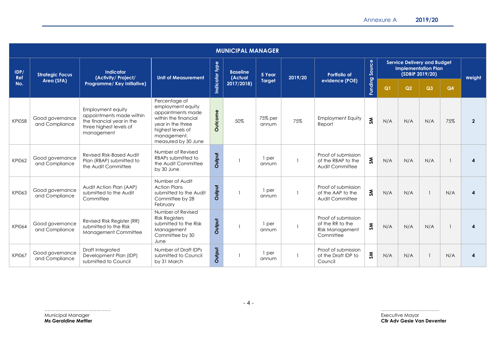|               | <b>MUNICIPAL MANAGER</b>          |                                                                                                                     |                                                                                                                                                                 |                |                            |                  |         |                                                                         |                          |                                                                                     |     |     |     |                  |
|---------------|-----------------------------------|---------------------------------------------------------------------------------------------------------------------|-----------------------------------------------------------------------------------------------------------------------------------------------------------------|----------------|----------------------------|------------------|---------|-------------------------------------------------------------------------|--------------------------|-------------------------------------------------------------------------------------|-----|-----|-----|------------------|
| IDP/<br>Ref   | <b>Strategic Focus</b>            | Indicator<br>(Activity/Project/                                                                                     | <b>Unit of Measurement</b>                                                                                                                                      | Indicator type | <b>Baseline</b><br>(Actual | 5 Year           | 2019/20 | Portfolio of                                                            | Funding Source           | <b>Service Delivery and Budget</b><br><b>Implementation Plan</b><br>(SDBIP 2019/20) |     |     |     | Weight           |
| No.           | Area (SFA)                        | Programme/Key Initiative)                                                                                           |                                                                                                                                                                 |                | 2017/2018)                 | <b>Target</b>    |         | evidence (POE)                                                          |                          | Q1                                                                                  | Q2  | Q3  | Q4  |                  |
| <b>KPI058</b> | Good governance<br>and Compliance | Employment equity<br>appointments made within<br>the financial year in the<br>three highest levels of<br>management | Percentage of<br>employment equity<br>appointments made<br>within the financial<br>vear in the three<br>highest levels of<br>management,<br>measured by 30 June | Outcome        | 50%                        | 75% per<br>annum | 75%     | <b>Employment Equity</b><br>Report                                      | $\mathbf{\tilde{s}}$     | N/A                                                                                 | N/A | N/A | 75% | $\overline{2}$   |
| <b>KPI062</b> | Good governance<br>and Compliance | Revised Risk-Based Audit<br>Plan (RBAP) submitted to<br>the Audit Committee                                         | Number of Revised<br>RBAPs submitted to<br>the Audit Committee<br>by 30 June                                                                                    | Output         |                            | per<br>annum     |         | Proof of submission<br>of the RBAP to the<br>Audit Committee            | $\mathsf{\underline{s}}$ | N/A                                                                                 | N/A | N/A |     | 4                |
| <b>KPI063</b> | Good governance<br>and Compliance | Audit Action Plan (AAP)<br>submitted to the Audit<br>Committee                                                      | Number of Audit<br><b>Action Plans</b><br>submitted to the Audit<br>Committee by 28<br>February                                                                 | Output         |                            | per<br>annum     |         | Proof of submission<br>of the AAP to the<br>Audit Committee             | $\tilde{\mathbf{s}}$     | N/A                                                                                 | N/A |     | N/A | $\boldsymbol{4}$ |
| <b>KPI064</b> | Good governance<br>and Compliance | Revised Risk Register (RR)<br>submitted to the Risk<br>Management Committee                                         | Number of Revised<br><b>Risk Registers</b><br>submitted to the Risk<br>Management<br>Committee by 30<br>June                                                    | Output         |                            | per<br>annum     |         | Proof of submission<br>of the RR to the<br>Risk Management<br>Committee | $\mathsf{\underline{s}}$ | N/A                                                                                 | N/A | N/A |     | 4                |
| <b>KPI067</b> | Good governance<br>and Compliance | Draft Integrated<br>Development Plan (IDP)<br>submitted to Council                                                  | Number of Draft IDPs<br>submitted to Council<br>by 31 March                                                                                                     | Output         |                            | per<br>annum     |         | Proof of submission<br>of the Draft IDP to<br>Council                   | $\mathbf{\tilde{s}}$     | N/A                                                                                 | N/A |     | N/A | 4                |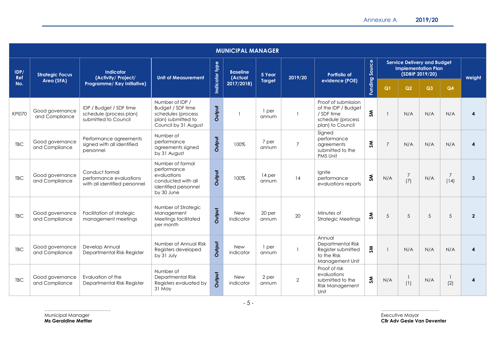|               | <b>MUNICIPAL MANAGER</b>          |                                                                            |                                                                                                            |                |                            |                 |                |                                                                                                   |                       |                |                                                                                     |     |                        |                  |
|---------------|-----------------------------------|----------------------------------------------------------------------------|------------------------------------------------------------------------------------------------------------|----------------|----------------------------|-----------------|----------------|---------------------------------------------------------------------------------------------------|-----------------------|----------------|-------------------------------------------------------------------------------------|-----|------------------------|------------------|
| IDP/<br>Ref   | <b>Strategic Focus</b>            | <b>Indicator</b><br>(Activity/Project/                                     | <b>Unit of Measurement</b>                                                                                 | Indicator type | <b>Baseline</b><br>(Actual | 5 Year          | 2019/20        | Portfolio of                                                                                      | <b>Funding Source</b> |                | <b>Service Delivery and Budget</b><br><b>Implementation Plan</b><br>(SDBIP 2019/20) |     |                        | <b>Weight</b>    |
| No.           | Area (SFA)                        | Programme/Key Initiative)                                                  |                                                                                                            |                | 2017/2018)                 | <b>Target</b>   |                | evidence (POE)                                                                                    |                       | Q1             | Q2                                                                                  | Q3  | Q4                     |                  |
| <b>KPI070</b> | Good governance<br>and Compliance | IDP / Budget / SDF time<br>schedule (process plan)<br>submitted to Council | Number of IDP /<br>Budget / SDF time<br>schedules (process<br>plan) submitted to<br>Council by 31 August   | Output         |                            | 1 per<br>annum  |                | Proof of submission<br>of the IDP / Budget<br>/ SDF time<br>schedule (process<br>plan) to Council | ŠΜ                    |                | N/A                                                                                 | N/A | N/A                    | $\boldsymbol{A}$ |
| <b>TBC</b>    | Good governance<br>and Compliance | Performance agreements<br>signed with all identified<br>personnel          | Number of<br>performance<br>agreements signed<br>by 31 August                                              | Output         | 100%                       | 7 per<br>annum  | $\overline{7}$ | Signed<br>performance<br>agreements<br>submitted to the<br>PMS Unit                               | $\mathbf{\tilde{s}}$  | $\overline{7}$ | N/A                                                                                 | N/A | N/A                    | $\boldsymbol{4}$ |
| <b>TBC</b>    | Good governance<br>and Compliance | Conduct formal<br>performance evaluations<br>with all identified personnel | Number of formal<br>performance<br>evaluations<br>conducted with all<br>identified personnel<br>by 30 June | Output         | 100%                       | 14 per<br>annum | 14             | lanite<br>performance<br>evaluations reports                                                      | $\tilde{s}$           | N/A            | $\overline{7}$<br>(7)                                                               | N/A | $\overline{7}$<br>(14) | 3                |
| <b>TBC</b>    | Good governance<br>and Compliance | Facilitation of strategic<br>management meetings                           | Number of Strategic<br>Management<br>Meetings facilitated<br>per month                                     | Output         | <b>New</b><br>Indicator    | 20 per<br>annum | 20             | Minutes of<br><b>Strategic Meetings</b>                                                           | $\tilde{\mathbf{s}}$  | 5              | 5                                                                                   | 5   | 5                      | $\overline{2}$   |
| <b>TBC</b>    | Good governance<br>and Compliance | Develop Annual<br>Departmental Risk Register                               | Number of Annual Risk<br>Registers developed<br>by 31 July                                                 | Output         | <b>New</b><br>indicator    | 1 per<br>annum  |                | Annual<br>Departmental Risk<br>Register submitted<br>to the Risk<br>Management Unit               | $\tilde{\mathbf{s}}$  |                | N/A                                                                                 | N/A | N/A                    | $\boldsymbol{A}$ |
| <b>TBC</b>    | Good governance<br>and Compliance | Evaluation of the<br>Departmental Risk Register                            | Number of<br>Departmental Risk<br>Registers evaluated by<br>31 May                                         | Output         | <b>New</b><br>indicator    | 2 per<br>annum  | $\overline{2}$ | Proof of risk<br>evaluations<br>submitted to the<br><b>Risk Management</b><br>Unit                | Š                     | N/A            | $\overline{\phantom{a}}$<br>(1)                                                     | N/A | (2)                    | $\boldsymbol{4}$ |

…………………………………… Municipal Manager **Ms Geraldine Mettler**

- 5 -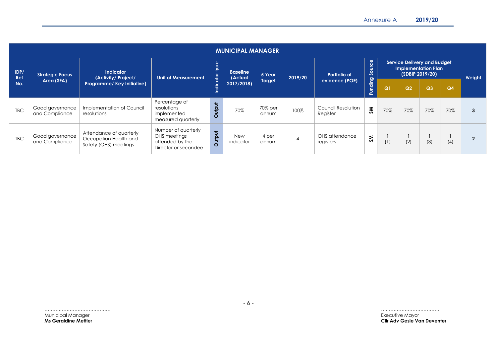|             | <b>MUNICIPAL MANAGER</b>          |                                                                           |                                                                                |                |                            |                  |         |                                |                      |     |                                                                  |                 |                |        |
|-------------|-----------------------------------|---------------------------------------------------------------------------|--------------------------------------------------------------------------------|----------------|----------------------------|------------------|---------|--------------------------------|----------------------|-----|------------------------------------------------------------------|-----------------|----------------|--------|
| IDP/<br>Ref | <b>Strategic Focus</b>            | <b>Indicator</b><br>(Activity/ Project/                                   | <b>Unit of Measurement</b>                                                     | Indicator type | <b>Baseline</b><br>(Actual | 5 Year           | 2019/20 | <b>Portfolio of</b>            | Source               |     | <b>Service Delivery and Budget</b><br><b>Implementation Plan</b> | (SDBIP 2019/20) |                | Weight |
| No.         | Area (SFA)                        | <b>Programme/Key Initiative)</b>                                          |                                                                                |                | 2017/2018)                 | <b>Target</b>    |         | evidence (POE)                 | <b>Funding</b>       | Q1  | Q2                                                               | Q <sub>3</sub>  | Q <sub>4</sub> |        |
| TBC         | Good governance<br>and Compliance | Implementation of Council<br>resolutions                                  | Percentage of<br>resolutions<br>implemented<br>measured quarterly              | Output         | 70%                        | 70% per<br>annum | 100%    | Council Resolution<br>Register | $\mathbf{\tilde{s}}$ | 70% | 70%                                                              | 70%             | 70%            | 3      |
| TBC         | Good governance<br>and Compliance | Attendance of quarterly<br>Occupation Health and<br>Safety (OHS) meetings | Number of quarterly<br>OHS meetings<br>attended by the<br>Director or secondee | Output         | New<br>indicator           | 4 per<br>annum   |         | OHS attendance<br>registers    | ξ<br>n               | (1) | (2)                                                              | (3)             | (4)            | 2      |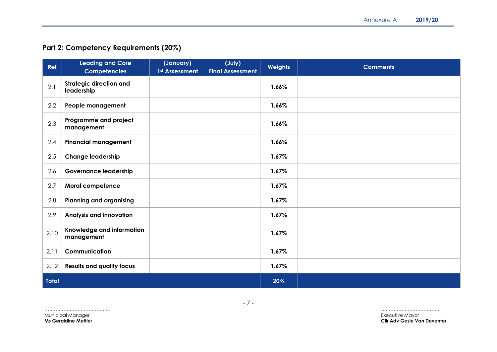# **Part 2: Competency Requirements (20%)**

| Ref          | <b>Leading and Core</b><br><b>Competencies</b> | (January)<br>1 <sup>st</sup> Assessment | (July)<br><b>Final Assessment</b> | <b>Weights</b> | <b>Comments</b> |
|--------------|------------------------------------------------|-----------------------------------------|-----------------------------------|----------------|-----------------|
| 2.1          | <b>Strategic direction and</b><br>leadership   |                                         |                                   | 1.66%          |                 |
| $2.2\,$      | People management                              |                                         |                                   | 1.66%          |                 |
| 2.3          | Programme and project<br>management            |                                         |                                   | 1.66%          |                 |
| 2.4          | <b>Financial management</b>                    |                                         |                                   | 1.66%          |                 |
| 2.5          | <b>Change leadership</b>                       |                                         |                                   | 1.67%          |                 |
| 2.6          | <b>Governance leadership</b>                   |                                         |                                   | 1.67%          |                 |
| 2.7          | Moral competence                               |                                         |                                   | 1.67%          |                 |
| 2.8          | <b>Planning and organising</b>                 |                                         |                                   | 1.67%          |                 |
| 2.9          | <b>Analysis and innovation</b>                 |                                         |                                   | 1.67%          |                 |
| 2.10         | Knowledge and information<br>management        |                                         |                                   | 1.67%          |                 |
| 2.11         | Communication                                  |                                         |                                   | 1.67%          |                 |
| 2.12         | <b>Results and quality focus</b>               |                                         |                                   | 1.67%          |                 |
| <b>Total</b> |                                                |                                         | 20%                               |                |                 |

…………………………………… Municipal Manager **Ms Geraldine Mettler**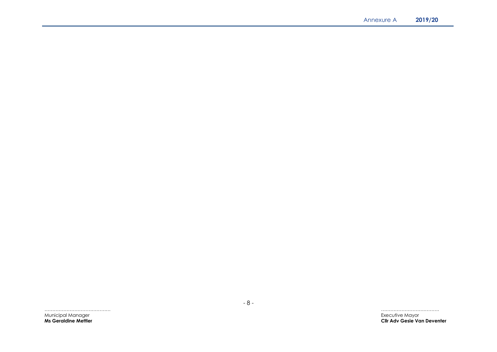| Annexure A 2019/20 |  |
|--------------------|--|
|--------------------|--|

Municipal Manager **Ms Geraldine Mettler**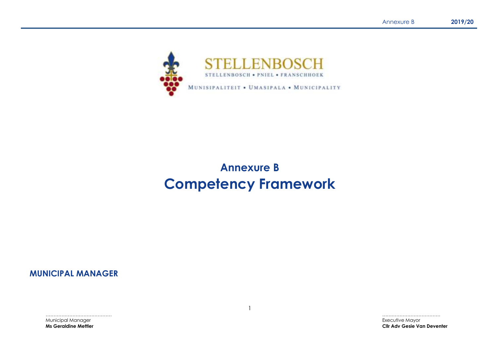

# **Annexure B Competency Framework**

**MUNICIPAL MANAGER**

………………………………………… Municipal Manager **Ms Geraldine Mettler**

 ………………………………. Executive Mayor **Cllr Adv Gesie Van Deventer**

1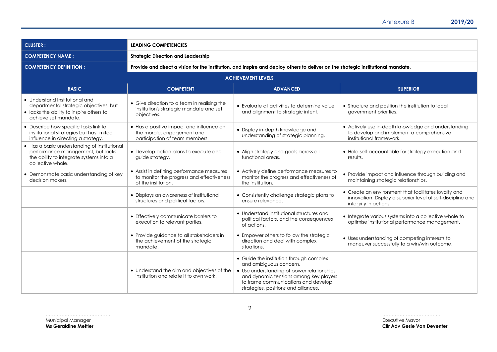| <b>CLUSTER:</b><br><b>LEADING COMPETENCIES</b>                                                                                                                                |                                                                                                          |                                                                                                                                                                                                                                          |                                                                                                                                              |  |  |  |  |  |
|-------------------------------------------------------------------------------------------------------------------------------------------------------------------------------|----------------------------------------------------------------------------------------------------------|------------------------------------------------------------------------------------------------------------------------------------------------------------------------------------------------------------------------------------------|----------------------------------------------------------------------------------------------------------------------------------------------|--|--|--|--|--|
| <b>COMPETENCY NAME:</b>                                                                                                                                                       | <b>Strategic Direction and Leadership</b>                                                                |                                                                                                                                                                                                                                          |                                                                                                                                              |  |  |  |  |  |
| <b>COMPETENCY DEFINITION:</b><br>Provide and direct a vision for the institution, and inspire and deploy others to deliver on the strategic institutional mandate.            |                                                                                                          |                                                                                                                                                                                                                                          |                                                                                                                                              |  |  |  |  |  |
| <b>ACHIEVEMENT LEVELS</b>                                                                                                                                                     |                                                                                                          |                                                                                                                                                                                                                                          |                                                                                                                                              |  |  |  |  |  |
| <b>BASIC</b>                                                                                                                                                                  | <b>COMPETENT</b>                                                                                         | <b>ADVANCED</b>                                                                                                                                                                                                                          | <b>SUPERIOR</b>                                                                                                                              |  |  |  |  |  |
| • Understand Institutional and<br>departmental strategic objectives, but<br>• lacks the ability to inspire others to<br>achieve set mandate.                                  | • Give direction to a team in realising the<br>institution's strategic mandate and set<br>objectives.    | • Evaluate all activities to determine value<br>and alignment to strategic intent.                                                                                                                                                       | • Structure and position the institution to local<br>government priorities.                                                                  |  |  |  |  |  |
| • Describe how specific tasks link to<br>institutional strategies but has limited<br>influence in directing a strategy.                                                       | • Has a positive impact and influence on<br>the morale, engagement and<br>participation of team members. | • Display in-depth knowledge and<br>understanding of strategic planning.                                                                                                                                                                 | • Actively use in-depth knowledge and understanding<br>to develop and implement a comprehensive<br>institutional framework.                  |  |  |  |  |  |
| • Has a basic understanding of institutional<br>performance management, but lacks<br>the ability to integrate systems into a<br>collective whole.                             | • Develop action plans to execute and<br>guide strategy.                                                 | • Align strategy and goals across all<br>functional areas.                                                                                                                                                                               | • Hold self-accountable for strategy execution and<br>results.                                                                               |  |  |  |  |  |
| • Assist in defining performance measures<br>• Demonstrate basic understanding of key<br>to monitor the progress and effectiveness<br>decision makers.<br>of the institution. |                                                                                                          | • Actively define performance measures to<br>monitor the progress and effectiveness of<br>the institution.                                                                                                                               | • Provide impact and influence through building and<br>maintaining strategic relationships.                                                  |  |  |  |  |  |
|                                                                                                                                                                               | • Displays an awareness of institutional<br>structures and political factors.                            | • Consistently challenge strategic plans to<br>ensure relevance.                                                                                                                                                                         | • Create an environment that facilitates loyalty and<br>innovation. Display a superior level of self-discipline and<br>integrity in actions. |  |  |  |  |  |
|                                                                                                                                                                               | • Effectively communicate barriers to<br>execution to relevant parties.                                  | • Understand institutional structures and<br>political factors, and the consequences<br>of actions.                                                                                                                                      | • Integrate various systems into a collective whole to<br>optimise institutional performance management.                                     |  |  |  |  |  |
| • Provide guidance to all stakeholders in<br>the achievement of the strategic<br>mandate.                                                                                     |                                                                                                          | • Empower others to follow the strategic<br>direction and deal with complex<br>situations.                                                                                                                                               | • Uses understanding of competing interests to<br>maneuver successfully to a win/win outcome.                                                |  |  |  |  |  |
|                                                                                                                                                                               | • Understand the aim and objectives of the<br>institution and relate it to own work.                     | • Guide the institution through complex<br>and ambiguous concern.<br>• Use understanding of power relationships<br>and dynamic tensions among key players<br>to frame communications and develop<br>strategies, positions and alliances. |                                                                                                                                              |  |  |  |  |  |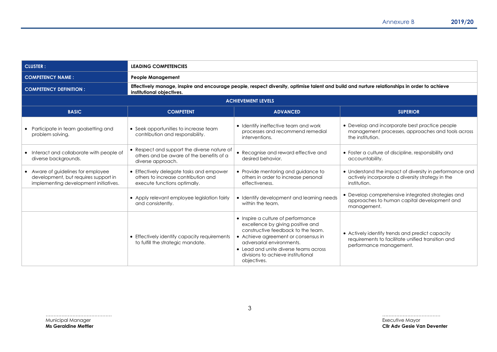| <b>CLUSTER:</b>                                                                                                     | <b>LEADING COMPETENCIES</b>                                                                                                                                               |                                                                                                                                                                                                                                                                                 |                                                                                                                                                                                                    |  |  |  |  |  |  |
|---------------------------------------------------------------------------------------------------------------------|---------------------------------------------------------------------------------------------------------------------------------------------------------------------------|---------------------------------------------------------------------------------------------------------------------------------------------------------------------------------------------------------------------------------------------------------------------------------|----------------------------------------------------------------------------------------------------------------------------------------------------------------------------------------------------|--|--|--|--|--|--|
| <b>COMPETENCY NAME:</b>                                                                                             | <b>People Management</b>                                                                                                                                                  |                                                                                                                                                                                                                                                                                 |                                                                                                                                                                                                    |  |  |  |  |  |  |
| <b>COMPETENCY DEFINITION:</b>                                                                                       | Effectively manage, inspire and encourage people, respect diversity, optimise talent and build and nurture relationships in order to achieve<br>institutional objectives. |                                                                                                                                                                                                                                                                                 |                                                                                                                                                                                                    |  |  |  |  |  |  |
|                                                                                                                     |                                                                                                                                                                           | <b>ACHIEVEMENT LEVELS</b>                                                                                                                                                                                                                                                       |                                                                                                                                                                                                    |  |  |  |  |  |  |
| <b>BASIC</b>                                                                                                        | <b>COMPETENT</b>                                                                                                                                                          | <b>ADVANCED</b>                                                                                                                                                                                                                                                                 | <b>SUPERIOR</b>                                                                                                                                                                                    |  |  |  |  |  |  |
| • Participate in team goalsetting and<br>problem solving.                                                           | • Seek opportunities to increase team<br>contribution and responsibility.                                                                                                 | • Identify ineffective team and work<br>processes and recommend remedial<br>interventions.                                                                                                                                                                                      | • Develop and incorporate best practice people<br>management processes, approaches and tools across<br>the institution.<br>• Foster a culture of discipline, responsibility and<br>accountability. |  |  |  |  |  |  |
| • Interact and collaborate with people of<br>diverse backgrounds.                                                   | • Respect and support the diverse nature of<br>others and be aware of the benefits of a<br>diverse approach.                                                              | • Recognise and reward effective and<br>desired behavior.                                                                                                                                                                                                                       |                                                                                                                                                                                                    |  |  |  |  |  |  |
| • Aware of guidelines for employee<br>development, but requires support in<br>implementing development initiatives. | • Effectively delegate tasks and empower<br>others to increase contribution and<br>execute functions optimally.                                                           | • Provide mentoring and guidance to<br>others in order to increase personal<br>effectiveness.                                                                                                                                                                                   | • Understand the impact of diversity in performance and<br>actively incorporate a diversity strategy in the<br>institution.                                                                        |  |  |  |  |  |  |
|                                                                                                                     | • Apply relevant employee legislation fairly<br>and consistently.                                                                                                         | • Identify development and learning needs<br>within the team.                                                                                                                                                                                                                   | • Develop comprehensive integrated strategies and<br>approaches to human capital development and<br>management.                                                                                    |  |  |  |  |  |  |
|                                                                                                                     | • Effectively identify capacity requirements<br>to fulfill the strategic mandate.                                                                                         | • Inspire a culture of performance<br>excellence by giving positive and<br>constructive feedback to the team.<br>• Achieve agreement or consensus in<br>adversarial environments.<br>• Lead and unite diverse teams across<br>divisions to achieve institutional<br>objectives. | • Actively identify trends and predict capacity<br>requirements to facilitate unified transition and<br>performance management.                                                                    |  |  |  |  |  |  |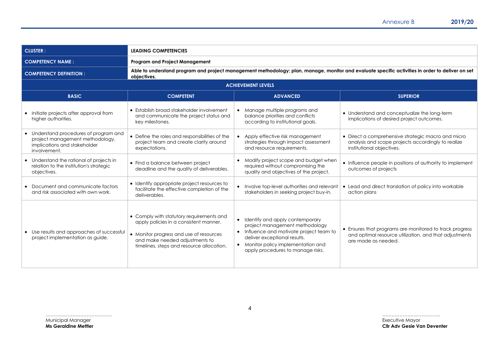Annexure **B** 

|--|

| <b>CLUSTER:</b>                                                                                                                      | <b>LEADING COMPETENCIES</b>                                                                                                                                                                                  |                                                                                                                                                                                                                           |                                                                                                                                          |  |  |  |  |  |  |
|--------------------------------------------------------------------------------------------------------------------------------------|--------------------------------------------------------------------------------------------------------------------------------------------------------------------------------------------------------------|---------------------------------------------------------------------------------------------------------------------------------------------------------------------------------------------------------------------------|------------------------------------------------------------------------------------------------------------------------------------------|--|--|--|--|--|--|
| <b>COMPETENCY NAME:</b>                                                                                                              | <b>Program and Project Management</b>                                                                                                                                                                        |                                                                                                                                                                                                                           |                                                                                                                                          |  |  |  |  |  |  |
| <b>COMPETENCY DEFINITION:</b>                                                                                                        | Able to understand program and project management methodology; plan, manage, monitor and evaluate specific activities in order to deliver on set<br>objectives.                                              |                                                                                                                                                                                                                           |                                                                                                                                          |  |  |  |  |  |  |
|                                                                                                                                      |                                                                                                                                                                                                              | <b>ACHIEVEMENT LEVELS</b>                                                                                                                                                                                                 |                                                                                                                                          |  |  |  |  |  |  |
| <b>BASIC</b>                                                                                                                         | <b>COMPETENT</b>                                                                                                                                                                                             | <b>ADVANCED</b>                                                                                                                                                                                                           | <b>SUPERIOR</b>                                                                                                                          |  |  |  |  |  |  |
| • Initiate projects after approval from<br>higher authorities.                                                                       | • Establish broad stakeholder involvement<br>and communicate the project status and<br>key milestones.                                                                                                       | Manage multiple programs and<br>balance priorities and conflicts<br>according to institutional goals.                                                                                                                     | • Understand and conceptualize the long-term<br>implications of desired project outcomes.                                                |  |  |  |  |  |  |
| Understand procedures of program and<br>$\bullet$<br>project management methodology,<br>implications and stakeholder<br>involvement. | • Define the roles and responsibilities of the<br>project team and create clarity around<br>expectations.                                                                                                    | Apply effective risk management<br>strategies through impact assessment<br>and resource requirements.                                                                                                                     | • Direct a comprehensive strategic macro and micro<br>analysis and scope projects accordingly to realize<br>institutional objectives.    |  |  |  |  |  |  |
| • Understand the rational of projects in<br>relation to the institution's strategic<br>objectives.                                   | • Find a balance between project<br>deadline and the quality of deliverables.                                                                                                                                | Modify project scope and budget when<br>required without compromising the<br>quality and objectives of the project.                                                                                                       | • Influence people in positions of authority to implement<br>outcomes of projects                                                        |  |  |  |  |  |  |
| Document and communicate factors<br>and risk associated with own work.                                                               | • Identify appropriate project resources to<br>facilitate the effective completion of the<br>deliverables.                                                                                                   | Involve top-level authorities and relevant<br>stakeholders in seeking project buy-in.                                                                                                                                     | • Lead and direct translation of policy into workable<br>action plans                                                                    |  |  |  |  |  |  |
| • Use results and approaches of successful<br>project implementation as guide.                                                       | • Comply with statutory requirements and<br>apply policies in a consistent manner.<br>• Monitor progress and use of resources<br>and make needed adjustments to<br>timelines, steps and resource allocation. | Identify and apply contemporary<br>project management methodology<br>• Influence and motivate project team to<br>deliver exceptional results.<br>• Monitor policy implementation and<br>apply procedures to manage risks. | • Ensures that programs are monitored to track progress<br>and optimal resource utilization, and that adjustments<br>are made as needed. |  |  |  |  |  |  |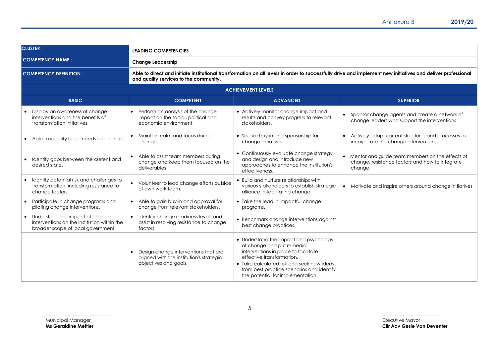| <b>CLUSTER:</b>               |                                                                                                                      |  | <b>LEADING COMPETENCIES</b>                                                                                                                                                                            |                                                                                                                                                                                                                                                                          |           |                                                                                                               |  |  |  |  |  |
|-------------------------------|----------------------------------------------------------------------------------------------------------------------|--|--------------------------------------------------------------------------------------------------------------------------------------------------------------------------------------------------------|--------------------------------------------------------------------------------------------------------------------------------------------------------------------------------------------------------------------------------------------------------------------------|-----------|---------------------------------------------------------------------------------------------------------------|--|--|--|--|--|
| <b>COMPETENCY NAME:</b>       |                                                                                                                      |  | <b>Change Leadership</b>                                                                                                                                                                               |                                                                                                                                                                                                                                                                          |           |                                                                                                               |  |  |  |  |  |
| <b>COMPETENCY DEFINITION:</b> |                                                                                                                      |  | Able to direct and initiate institutional transformation on all levels in order to successfully drive and implement new initiatives and deliver professional<br>and quality services to the community. |                                                                                                                                                                                                                                                                          |           |                                                                                                               |  |  |  |  |  |
|                               |                                                                                                                      |  |                                                                                                                                                                                                        | <b>ACHIEVEMENT LEVELS</b>                                                                                                                                                                                                                                                |           |                                                                                                               |  |  |  |  |  |
|                               | <b>BASIC</b>                                                                                                         |  | <b>COMPETENT</b>                                                                                                                                                                                       | <b>ADVANCED</b>                                                                                                                                                                                                                                                          |           | <b>SUPERIOR</b>                                                                                               |  |  |  |  |  |
|                               | Display an awareness of change<br>interventions and the benefits of<br>transformation initiatives.                   |  | • Perform an analysis of the change<br>impact on the social, political and<br>economic environment.                                                                                                    | • Actively monitor change impact and<br>results and convey progress to relevant<br>stakeholders.                                                                                                                                                                         |           | Sponsor change agents and create a network of<br>change leaders who support the interventions.                |  |  |  |  |  |
|                               | • Able to identify basic needs for change.                                                                           |  | • Maintain calm and focus during<br>change.                                                                                                                                                            | • Secure buy-in and sponsorship for<br>change initiatives.                                                                                                                                                                                                               | $\bullet$ | Actively adapt current structures and processes to<br>incorporate the change interventions.                   |  |  |  |  |  |
|                               | Identify gaps between the current and<br>desired state.                                                              |  | Able to assist team members during<br>change and keep them focused on the<br>deliverables.                                                                                                             | • Continuously evaluate change strategy<br>and design and introduce new<br>approaches to enhance the institution's<br>effectiveness.                                                                                                                                     |           | Mentor and guide team members on the effects of<br>change, resistance factors and how to integrate<br>change. |  |  |  |  |  |
| $\bullet$                     | Identify potential risk and challenges to<br>transformation, including resistance to<br>change factors.              |  | • Volunteer to lead change efforts outside<br>of own work team.                                                                                                                                        | • Build and nurture relationships with<br>various stakeholders to establish strategic<br>alliance in facilitating change.                                                                                                                                                |           | • Motivate and inspire others around change initiatives.                                                      |  |  |  |  |  |
|                               | Participate in change programs and<br>piloting change interventions.                                                 |  | • Able to gain buy-in and approval for<br>change from relevant stakeholders.                                                                                                                           | • Take the lead in impactful change<br>programs.                                                                                                                                                                                                                         |           |                                                                                                               |  |  |  |  |  |
|                               | Understand the impact of change<br>interventions on the institution within the<br>broader scope of local government. |  | • Identify change readiness levels and<br>assist in resolving resistance to change<br>factors.                                                                                                         | • Benchmark change interventions against<br>best change practices.                                                                                                                                                                                                       |           |                                                                                                               |  |  |  |  |  |
|                               |                                                                                                                      |  | • Design change interventions that are<br>aligned with the institution's strategic<br>objectives and goals.                                                                                            | • Understand the impact and psychology<br>of change and put remedial<br>interventions in place to facilitate<br>effective transformation.<br>• Take calculated risk and seek new ideas<br>from best practice scenarios and identify<br>the potential for implementation. |           |                                                                                                               |  |  |  |  |  |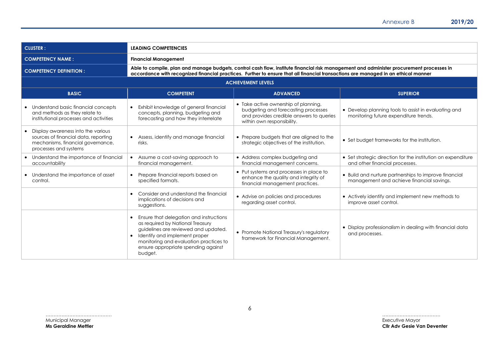| <b>CLUSTER:</b>                                                                                                                          | <b>LEADING COMPETENCIES</b>                                                                                                                                                                                                                                                    |                                                                                                                                                       |                                                                                                    |  |  |  |  |  |  |
|------------------------------------------------------------------------------------------------------------------------------------------|--------------------------------------------------------------------------------------------------------------------------------------------------------------------------------------------------------------------------------------------------------------------------------|-------------------------------------------------------------------------------------------------------------------------------------------------------|----------------------------------------------------------------------------------------------------|--|--|--|--|--|--|
| <b>COMPETENCY NAME:</b>                                                                                                                  | <b>Financial Management</b>                                                                                                                                                                                                                                                    |                                                                                                                                                       |                                                                                                    |  |  |  |  |  |  |
| <b>COMPETENCY DEFINITION:</b>                                                                                                            | Able to compile, plan and manage budgets, control cash flow, institute financial risk management and administer procurement processes in<br>accordance with recognized financial practices. Further to ensure that all financial transactions are managed in an ethical manner |                                                                                                                                                       |                                                                                                    |  |  |  |  |  |  |
|                                                                                                                                          |                                                                                                                                                                                                                                                                                | <b>ACHIEVEMENT LEVELS</b>                                                                                                                             |                                                                                                    |  |  |  |  |  |  |
| <b>BASIC</b>                                                                                                                             | <b>COMPETENT</b>                                                                                                                                                                                                                                                               | <b>ADVANCED</b>                                                                                                                                       | <b>SUPERIOR</b>                                                                                    |  |  |  |  |  |  |
| Understand basic financial concepts<br>and methods as they relate to<br>institutional processes and activities                           | Exhibit knowledge of general financial<br>concepts, planning, budgeting and<br>forecasting and how they interrelate                                                                                                                                                            | • Take active ownership of planning,<br>budgeting and forecasting processes<br>and provides credible answers to queries<br>within own responsibility. | • Develop planning tools to assist in evaluating and<br>monitoring future expenditure trends.      |  |  |  |  |  |  |
| Display awareness into the various<br>sources of financial data, reporting<br>mechanisms, financial governance,<br>processes and systems | Assess, identify and manage financial<br>$\bullet$<br>risks.                                                                                                                                                                                                                   | • Prepare budgets that are aligned to the<br>strategic objectives of the institution.                                                                 | • Set budget frameworks for the institution.                                                       |  |  |  |  |  |  |
| Understand the importance of financial<br>accountability                                                                                 | Assume a cost-saving approach to<br>financial management.                                                                                                                                                                                                                      | • Address complex budgeting and<br>financial management concerns.                                                                                     | • Set strategic direction for the institution on expenditure<br>and other financial processes.     |  |  |  |  |  |  |
| • Understand the importance of asset<br>control.                                                                                         | Prepare financial reports based on<br>specified formats.                                                                                                                                                                                                                       | • Put systems and processes in place to<br>enhance the quality and integrity of<br>financial management practices.                                    | • Build and nurture partnerships to improve financial<br>management and achieve financial savings. |  |  |  |  |  |  |
|                                                                                                                                          | Consider and understand the financial<br>implications of decisions and<br>suggestions.                                                                                                                                                                                         | • Advise on policies and procedures<br>regarding asset control.                                                                                       | • Actively identify and implement new methods to<br>improve asset control.                         |  |  |  |  |  |  |
|                                                                                                                                          | Ensure that delegation and instructions<br>as required by National Treasury<br>guidelines are reviewed and updated.<br>Identify and implement proper<br>$\bullet$<br>monitoring and evaluation practices to<br>ensure appropriate spending against<br>budget.                  | • Promote National Treasury's regulatory<br>framework for Financial Management.                                                                       | • Display professionalism in dealing with financial data<br>and processes.                         |  |  |  |  |  |  |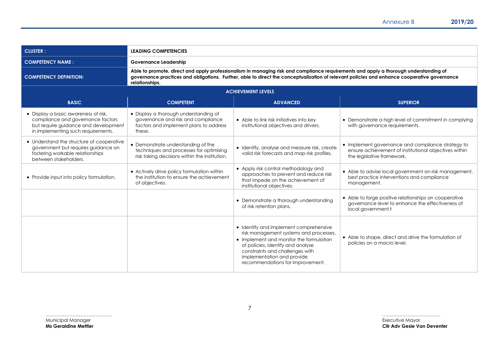| <b>CLUSTER:</b>                                                                                                                                         | <b>LEADING COMPETENCIES</b>                                                                                                                                                                                                                                                                           |                                                                                                                                                                                                                                                                       |                                                                                                                                          |  |  |  |  |  |  |
|---------------------------------------------------------------------------------------------------------------------------------------------------------|-------------------------------------------------------------------------------------------------------------------------------------------------------------------------------------------------------------------------------------------------------------------------------------------------------|-----------------------------------------------------------------------------------------------------------------------------------------------------------------------------------------------------------------------------------------------------------------------|------------------------------------------------------------------------------------------------------------------------------------------|--|--|--|--|--|--|
| <b>COMPETENCY NAME:</b>                                                                                                                                 | <b>Governance Leadership</b>                                                                                                                                                                                                                                                                          |                                                                                                                                                                                                                                                                       |                                                                                                                                          |  |  |  |  |  |  |
| <b>COMPETENCY DEFINITION:</b>                                                                                                                           | Able to promote, direct and apply professionalism in managing risk and compliance requirements and apply a thorough understanding of<br>governance practices and obligations. Further, able to direct the conceptualization of relevant policies and enhance cooperative governance<br>relationships. |                                                                                                                                                                                                                                                                       |                                                                                                                                          |  |  |  |  |  |  |
|                                                                                                                                                         |                                                                                                                                                                                                                                                                                                       | <b>ACHIEVEMENT LEVELS</b>                                                                                                                                                                                                                                             |                                                                                                                                          |  |  |  |  |  |  |
| <b>BASIC</b>                                                                                                                                            | <b>COMPETENT</b>                                                                                                                                                                                                                                                                                      | <b>ADVANCED</b>                                                                                                                                                                                                                                                       | <b>SUPERIOR</b>                                                                                                                          |  |  |  |  |  |  |
| · Display a basic awareness of risk,<br>compliance and governance factors<br>but require guidance and development<br>in implementing such requirements. | • Display a thorough understanding of<br>governance and risk and compliance<br>factors and implement plans to address<br>these.                                                                                                                                                                       | • Able to link risk initiatives into key<br>institutional objectives and drivers.                                                                                                                                                                                     | • Demonstrate a high level of commitment in complying<br>with governance requirements.                                                   |  |  |  |  |  |  |
| • Understand the structure of cooperative<br>government but requires guidance on<br>fostering workable relationships<br>between stakeholders.           | • Demonstrate understanding of the<br>techniques and processes for optimising<br>risk taking decisions within the institution.                                                                                                                                                                        | · Identify, analyse and measure risk, create<br>valid risk forecasts and map risk profiles.                                                                                                                                                                           | • Implement governance and compliance strategy to<br>ensure achievement of institutional objectives within<br>the legislative framework. |  |  |  |  |  |  |
| • Provide input into policy formulation.                                                                                                                | • Actively drive policy formulation within<br>the institution to ensure the achievement<br>of objectives.                                                                                                                                                                                             | • Apply risk control methodology and<br>approaches to prevent and reduce risk<br>that impede on the achievement of<br>institutional objectives.                                                                                                                       | • Able to advise local government on risk management,<br>best practice interventions and compliance<br>management.                       |  |  |  |  |  |  |
|                                                                                                                                                         |                                                                                                                                                                                                                                                                                                       | • Demonstrate a thorough understanding<br>of risk retention plans.                                                                                                                                                                                                    | • Able to forge positive relationships on cooperative<br>governance level to enhance the effectiveness of<br>local government.t          |  |  |  |  |  |  |
|                                                                                                                                                         |                                                                                                                                                                                                                                                                                                       | • Identify and implement comprehensive<br>risk management systems and processes.<br>• Implement and monitor the formulation<br>of policies, identify and analyse<br>constraints and challenges with<br>implementation and provide<br>recommendations for improvement. | • Able to shape, direct and drive the formulation of<br>policies on a macro level.                                                       |  |  |  |  |  |  |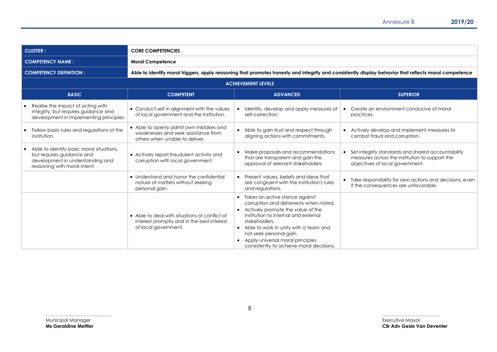| <b>CLUSTER:</b> |                                                                                                                                           | <b>CORE COMPETENCIES</b>                                                                                                                              |                        |                                                                                                                                                                                                                                                                                                                             |                 |                                                                                                                                        |  |  |  |  |
|-----------------|-------------------------------------------------------------------------------------------------------------------------------------------|-------------------------------------------------------------------------------------------------------------------------------------------------------|------------------------|-----------------------------------------------------------------------------------------------------------------------------------------------------------------------------------------------------------------------------------------------------------------------------------------------------------------------------|-----------------|----------------------------------------------------------------------------------------------------------------------------------------|--|--|--|--|
|                 | <b>COMPETENCY NAME:</b>                                                                                                                   | <b>Moral Competence</b>                                                                                                                               |                        |                                                                                                                                                                                                                                                                                                                             |                 |                                                                                                                                        |  |  |  |  |
|                 | <b>COMPETENCY DEFINITION:</b>                                                                                                             | Able to identify moral triggers, apply reasoning that promotes honesty and integrity and consistently display behavior that reflects moral competence |                        |                                                                                                                                                                                                                                                                                                                             |                 |                                                                                                                                        |  |  |  |  |
|                 |                                                                                                                                           |                                                                                                                                                       |                        | <b>ACHIEVEMENT LEVELS</b>                                                                                                                                                                                                                                                                                                   |                 |                                                                                                                                        |  |  |  |  |
|                 | <b>BASIC</b>                                                                                                                              | <b>COMPETENT</b>                                                                                                                                      |                        | <b>ADVANCED</b>                                                                                                                                                                                                                                                                                                             | <b>SUPERIOR</b> |                                                                                                                                        |  |  |  |  |
|                 | Realise the impact of acting with<br>integrity, but requires guidance and<br>development in implementing principles.                      | • Conduct self in alignment with the values<br>of local government and the institution.                                                               |                        | Identify, develop and apply measures of<br>self-correction.                                                                                                                                                                                                                                                                 |                 | Create an environment conducive of moral<br>practices.                                                                                 |  |  |  |  |
|                 | Follow basic rules and regulations of the<br>institution.                                                                                 | • Able to openly admit own mistakes and<br>weaknesses and seek assistance from<br>others when unable to deliver.                                      |                        | • Able to gain trust and respect through<br>aligning actions with commitments.                                                                                                                                                                                                                                              |                 | • Actively develop and implement measures to<br>combat fraud and corruption.                                                           |  |  |  |  |
|                 | Able to identify basic moral situations,<br>but requires guidance and<br>development in understanding and<br>reasoning with moral intent. | • Actively report fraudulent activity and<br>corruption with local government.                                                                        |                        | Make proposals and recommendations<br>that are transparent and gain the<br>approval of relevant stakeholders.                                                                                                                                                                                                               |                 | Set integrity standards and shared accountability<br>measures across the institution to support the<br>objectives of local government. |  |  |  |  |
|                 |                                                                                                                                           | • Understand and honor the confidential<br>nature of matters without seeking<br>personal gain.                                                        | $\bullet$              | Present values, beliefs and ideas that<br>are congruent with the institution's rules<br>and regulations.                                                                                                                                                                                                                    |                 | • Take responsibility for own actions and decisions, even<br>if the consequences are unfavorable.                                      |  |  |  |  |
|                 |                                                                                                                                           | • Able to deal with situations of conflict of<br>interest promptly and in the best interest<br>of local government.                                   | $\bullet$<br>$\bullet$ | Takes an active stance against<br>corruption and dishonesty when noted.<br>Actively promote the value of the<br>institution to internal and external<br>stakeholders.<br>• Able to work in unity with a team and<br>not seek personal gain.<br>Apply universal moral principles<br>consistently to achieve moral decisions. |                 |                                                                                                                                        |  |  |  |  |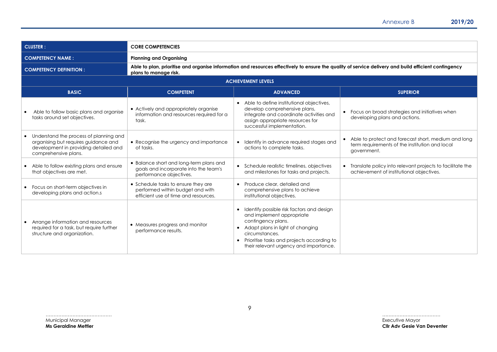| <b>CLUSTER:</b>               |                                                                                                                                                 | <b>CORE COMPETENCIES</b>                                                                                                                                                       |                 |                                                                                                                                                                                                                                              |  |                                                                                                                      |  |
|-------------------------------|-------------------------------------------------------------------------------------------------------------------------------------------------|--------------------------------------------------------------------------------------------------------------------------------------------------------------------------------|-----------------|----------------------------------------------------------------------------------------------------------------------------------------------------------------------------------------------------------------------------------------------|--|----------------------------------------------------------------------------------------------------------------------|--|
| <b>COMPETENCY NAME:</b>       |                                                                                                                                                 | <b>Planning and Organising</b>                                                                                                                                                 |                 |                                                                                                                                                                                                                                              |  |                                                                                                                      |  |
| <b>COMPETENCY DEFINITION:</b> |                                                                                                                                                 | Able to plan, prioritise and organise information and resources effectively to ensure the quality of service delivery and build efficient contingency<br>plans to manage risk. |                 |                                                                                                                                                                                                                                              |  |                                                                                                                      |  |
|                               | <b>ACHIEVEMENT LEVELS</b>                                                                                                                       |                                                                                                                                                                                |                 |                                                                                                                                                                                                                                              |  |                                                                                                                      |  |
| <b>BASIC</b>                  |                                                                                                                                                 | <b>COMPETENT</b>                                                                                                                                                               | <b>ADVANCED</b> |                                                                                                                                                                                                                                              |  | <b>SUPERIOR</b>                                                                                                      |  |
|                               | Able to follow basic plans and organise<br>tasks around set objectives.                                                                         | • Actively and appropriately organise<br>information and resources required for a<br>task.                                                                                     |                 | • Able to define institutional objectives,<br>develop comprehensive plans,<br>integrate and coordinate activities and<br>assign appropriate resources for<br>successful implementation.                                                      |  | • Focus on broad strategies and initiatives when<br>developing plans and actions.                                    |  |
| $\bullet$                     | Understand the process of planning and<br>organising but requires guidance and<br>development in providing detailed and<br>comprehensive plans. | • Recognise the urgency and importance<br>of tasks.                                                                                                                            |                 | Identify in advance required stages and<br>actions to complete tasks.                                                                                                                                                                        |  | Able to protect and forecast short, medium and long<br>term requirements of the institution and local<br>government. |  |
| $\bullet$                     | Able to follow existing plans and ensure<br>that objectives are met.                                                                            | • Balance short and long-term plans and<br>goals and incorporate into the team's<br>performance objectives.                                                                    |                 | • Schedule realistic timelines, objectives<br>and milestones for tasks and projects.                                                                                                                                                         |  | • Translate policy into relevant projects to facilitate the<br>achievement of institutional objectives.              |  |
|                               | • Focus on short-term objectives in<br>developing plans and action.s                                                                            | • Schedule tasks to ensure they are<br>performed within budget and with<br>efficient use of time and resources.                                                                |                 | • Produce clear, detailed and<br>comprehensive plans to achieve<br>institutional objectives.                                                                                                                                                 |  |                                                                                                                      |  |
|                               | Arrange information and resources<br>required for a task, but require further<br>structure and organization.                                    | • Measures progress and monitor<br>performance results.                                                                                                                        |                 | • Identify possible risk factors and design<br>and implement appropriate<br>contingency plans.<br>Adapt plans in light of changing<br>circumstances.<br>Prioritise tasks and projects according to<br>their relevant urgency and importance. |  |                                                                                                                      |  |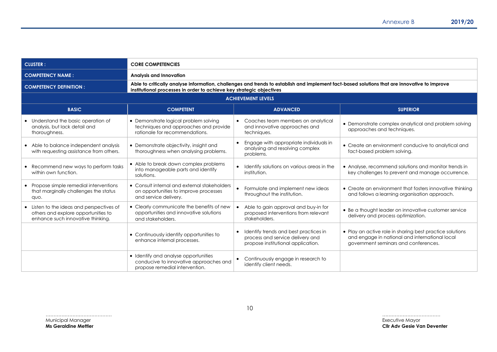| <b>CLUSTER:</b>                                                                                                       | <b>CORE COMPETENCIES</b>                                                                                                                                                                                             |                                                                                                                 |                                                                                                                                                    |  |  |  |
|-----------------------------------------------------------------------------------------------------------------------|----------------------------------------------------------------------------------------------------------------------------------------------------------------------------------------------------------------------|-----------------------------------------------------------------------------------------------------------------|----------------------------------------------------------------------------------------------------------------------------------------------------|--|--|--|
| <b>COMPETENCY NAME:</b>                                                                                               | <b>Analysis and Innovation</b>                                                                                                                                                                                       |                                                                                                                 |                                                                                                                                                    |  |  |  |
| <b>COMPETENCY DEFINITION:</b>                                                                                         | Able to critically analyse information, challenges and trends to establish and implement fact-based solutions that are innovative to improve<br>institutional processes in order to achieve key strategic objectives |                                                                                                                 |                                                                                                                                                    |  |  |  |
| <b>ACHIEVEMENT LEVELS</b>                                                                                             |                                                                                                                                                                                                                      |                                                                                                                 |                                                                                                                                                    |  |  |  |
| <b>BASIC</b>                                                                                                          | <b>COMPETENT</b>                                                                                                                                                                                                     | <b>ADVANCED</b>                                                                                                 | <b>SUPERIOR</b>                                                                                                                                    |  |  |  |
| • Understand the basic operation of<br>analysis, but lack detail and<br>thoroughness.                                 | • Demonstrate logical problem solving<br>techniques and approaches and provide<br>rationale for recommendations.                                                                                                     | Coaches team members on analytical<br>and innovative approaches and<br>techniques.                              | • Demonstrate complex analytical and problem solving<br>approaches and techniques.                                                                 |  |  |  |
| • Able to balance independent analysis<br>with requesting assistance from others.                                     | • Demonstrate objectivity, insight and<br>thoroughness when analysing problems.                                                                                                                                      | Engage with appropriate individuals in<br>analysing and resolving complex<br>problems.                          | • Create an environment conducive to analytical and<br>fact-based problem solving.                                                                 |  |  |  |
| • Recommend new ways to perform tasks<br>within own function.                                                         | • Able to break down complex problems<br>into manageable parts and identify<br>solutions.                                                                                                                            | Identify solutions on various areas in the<br>institution.                                                      | • Analyse, recommend solutions and monitor trends in<br>key challenges to prevent and manage occurrence.                                           |  |  |  |
| • Propose simple remedial interventions<br>that marginally challenges the status<br>quo.                              | • Consult internal and external stakeholders<br>on opportunities to improve processes<br>and service delivery.                                                                                                       | Formulate and implement new ideas<br>throughout the institution.                                                | • Create an environment that fosters innovative thinking<br>and follows a learning organisation approach.                                          |  |  |  |
| • Listen to the ideas and perspectives of<br>others and explore opportunities to<br>enhance such innovative thinking. | • Clearly communicate the benefits of new<br>opportunities and innovative solutions<br>and stakeholders.                                                                                                             | Able to gain approval and buy-in for<br>proposed interventions from relevant<br>stakeholders.                   | • Be a thought leader on innovative customer service<br>delivery and process optimization.                                                         |  |  |  |
|                                                                                                                       | • Continuously identify opportunities to<br>enhance internal processes.                                                                                                                                              | Identify trends and best practices in<br>process and service delivery and<br>propose institutional application. | • Play an active role in sharing best practice solutions<br>and engage in national and international local<br>government seminars and conferences. |  |  |  |
|                                                                                                                       | • Identify and analyse opportunities<br>conducive to innovative approaches and<br>propose remedial intervention.                                                                                                     | Continuously engage in research to<br>identify client needs.                                                    |                                                                                                                                                    |  |  |  |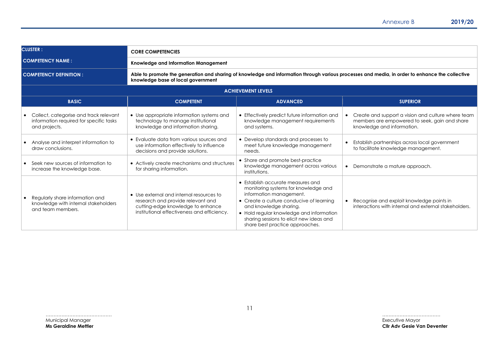| <b>CLUSTER:</b>                                     |                                                                                                    | <b>CORE COMPETENCIES</b>                                                                                                                                                              |                                                                                                                                                                                                                                                                                                       |                                                                                                                                   |  |  |  |  |
|-----------------------------------------------------|----------------------------------------------------------------------------------------------------|---------------------------------------------------------------------------------------------------------------------------------------------------------------------------------------|-------------------------------------------------------------------------------------------------------------------------------------------------------------------------------------------------------------------------------------------------------------------------------------------------------|-----------------------------------------------------------------------------------------------------------------------------------|--|--|--|--|
| <b>COMPETENCY NAME:</b>                             |                                                                                                    | Knowledge and Information Management                                                                                                                                                  |                                                                                                                                                                                                                                                                                                       |                                                                                                                                   |  |  |  |  |
| <b>COMPETENCY DEFINITION:</b>                       |                                                                                                    | Able to promote the generation and sharing of knowledge and information through various processes and media, in order to enhance the collective<br>knowledge base of local government |                                                                                                                                                                                                                                                                                                       |                                                                                                                                   |  |  |  |  |
|                                                     | <b>ACHIEVEMENT LEVELS</b>                                                                          |                                                                                                                                                                                       |                                                                                                                                                                                                                                                                                                       |                                                                                                                                   |  |  |  |  |
| <b>BASIC</b><br><b>COMPETENT</b><br><b>ADVANCED</b> |                                                                                                    |                                                                                                                                                                                       |                                                                                                                                                                                                                                                                                                       | <b>SUPERIOR</b>                                                                                                                   |  |  |  |  |
|                                                     | Collect, categorise and track relevant<br>information required for specific tasks<br>and projects. | • Use appropriate information systems and<br>technology to manage institutional<br>knowledge and information sharing.                                                                 | • Effectively predict future information and<br>knowledge management requirements<br>and systems.                                                                                                                                                                                                     | Create and support a vision and culture where team<br>members are empowered to seek, gain and share<br>knowledge and information. |  |  |  |  |
|                                                     | Analyse and interpret information to<br>draw conclusions.                                          | • Evaluate data from various sources and<br>use information effectively to influence<br>decisions and provide solutions.                                                              | • Develop standards and processes to<br>meet future knowledge management<br>needs.                                                                                                                                                                                                                    | Establish partnerships across local government<br>to facilitate knowledge management.                                             |  |  |  |  |
|                                                     | Seek new sources of information to<br>increase the knowledge base.                                 | • Actively create mechanisms and structures<br>for sharing information.                                                                                                               | • Share and promote best-practice<br>knowledge management across various<br>institutions.                                                                                                                                                                                                             | • Demonstrate a mature approach.                                                                                                  |  |  |  |  |
|                                                     | Regularly share information and<br>knowledge with internal stakeholders<br>and team members.       | • Use external and internal resources to<br>research and provide relevant and<br>cutting-edge knowledge to enhance<br>institutional effectiveness and efficiency.                     | • Establish accurate measures and<br>monitoring systems for knowledge and<br>information management.<br>• Create a culture conducive of learning<br>and knowledge sharing.<br>• Hold regular knowledge and information<br>sharing sessions to elicit new ideas and<br>share best practice approaches. | Recognise and exploit knowledge points in<br>interactions with internal and external stakeholders.                                |  |  |  |  |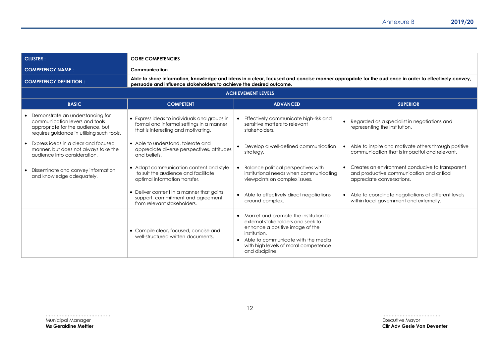| <b>CLUSTER:</b>                                                                                                                                         | <b>CORE COMPETENCIES</b>                                                                                                                                                                                                  |                                                                                                                                                                                                                                |                                                                                                                             |  |  |  |
|---------------------------------------------------------------------------------------------------------------------------------------------------------|---------------------------------------------------------------------------------------------------------------------------------------------------------------------------------------------------------------------------|--------------------------------------------------------------------------------------------------------------------------------------------------------------------------------------------------------------------------------|-----------------------------------------------------------------------------------------------------------------------------|--|--|--|
| <b>COMPETENCY NAME:</b>                                                                                                                                 | Communication                                                                                                                                                                                                             |                                                                                                                                                                                                                                |                                                                                                                             |  |  |  |
| <b>COMPETENCY DEFINITION:</b>                                                                                                                           | Able to share information, knowledge and ideas in a clear, focused and concise manner appropriate for the audience in order to effectively convey,<br>persuade and influence stakeholders to achieve the desired outcome. |                                                                                                                                                                                                                                |                                                                                                                             |  |  |  |
| <b>ACHIEVEMENT LEVELS</b>                                                                                                                               |                                                                                                                                                                                                                           |                                                                                                                                                                                                                                |                                                                                                                             |  |  |  |
| <b>BASIC</b>                                                                                                                                            | <b>COMPETENT</b>                                                                                                                                                                                                          | <b>ADVANCED</b>                                                                                                                                                                                                                | <b>SUPERIOR</b>                                                                                                             |  |  |  |
| • Demonstrate an understanding for<br>communication levers and tools<br>appropriate for the audience, but<br>requires guidance in utilising such tools. | • Express ideas to individuals and groups in<br>formal and informal settings in a manner<br>that is interesting and motivating.                                                                                           | Effectively communicate high-risk and<br>sensitive matters to relevant<br>stakeholders.                                                                                                                                        | Regarded as a specialist in negotiations and<br>representing the institution.                                               |  |  |  |
| • Express ideas in a clear and focused<br>manner, but does not always take the<br>audience into consideration.                                          | • Able to understand, tolerate and<br>appreciate diverse perspectives, attitudes<br>and beliefs.                                                                                                                          | Develop a well-defined communication<br>strategy.                                                                                                                                                                              | Able to inspire and motivate others through positive<br>communication that is impactful and relevant.                       |  |  |  |
| • Disseminate and convey information<br>and knowledge adequately.                                                                                       | • Adapt communication content and style<br>to suit the audience and facilitate<br>optimal information transfer.                                                                                                           | Balance political perspectives with<br>institutional needs when communicating<br>viewpoints on complex issues.                                                                                                                 | • Creates an environment conducive to transparent<br>and productive communication and critical<br>appreciate conversations. |  |  |  |
|                                                                                                                                                         | • Deliver content in a manner that gains<br>support, commitment and agreement<br>from relevant stakeholders.                                                                                                              | Able to effectively direct negotiations<br>around complex.                                                                                                                                                                     | • Able to coordinate negotiations at different levels<br>within local government and externally.                            |  |  |  |
|                                                                                                                                                         | • Compile clear, focused, concise and<br>well-structured written documents.                                                                                                                                               | Market and promote the institution to<br>external stakeholders and seek to<br>enhance a positive image of the<br>institution.<br>Able to communicate with the media<br>with high levels of moral competence<br>and discipline. |                                                                                                                             |  |  |  |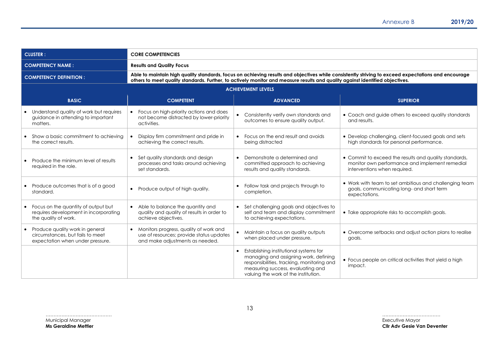| <b>CLUSTER:</b>                                                                                         | <b>CORE COMPETENCIES</b>                                                                                                                                                                                                                                                             |                                                                                                                                                                                                                         |                                                                                                                                         |  |  |  |  |
|---------------------------------------------------------------------------------------------------------|--------------------------------------------------------------------------------------------------------------------------------------------------------------------------------------------------------------------------------------------------------------------------------------|-------------------------------------------------------------------------------------------------------------------------------------------------------------------------------------------------------------------------|-----------------------------------------------------------------------------------------------------------------------------------------|--|--|--|--|
| <b>COMPETENCY NAME:</b>                                                                                 | <b>Results and Quality Focus</b>                                                                                                                                                                                                                                                     |                                                                                                                                                                                                                         |                                                                                                                                         |  |  |  |  |
| <b>COMPETENCY DEFINITION:</b>                                                                           | Able to maintain high quality standards, focus on achieving results and objectives while consistently striving to exceed expectations and encourage<br>others to meet quality standards. Further, to actively monitor and measure results and quality against identified objectives. |                                                                                                                                                                                                                         |                                                                                                                                         |  |  |  |  |
| <b>ACHIEVEMENT LEVELS</b>                                                                               |                                                                                                                                                                                                                                                                                      |                                                                                                                                                                                                                         |                                                                                                                                         |  |  |  |  |
| <b>BASIC</b>                                                                                            | <b>COMPETENT</b>                                                                                                                                                                                                                                                                     | <b>ADVANCED</b>                                                                                                                                                                                                         | <b>SUPERIOR</b>                                                                                                                         |  |  |  |  |
| Understand quality of work but requires<br>guidance in attending to important<br>matters.               | • Focus on high-priority actions and does<br>not become distracted by lower-priority<br>activities.                                                                                                                                                                                  | Consistently verify own standards and<br>outcomes to ensure quality output.                                                                                                                                             | • Coach and guide others to exceed quality standards<br>and results.                                                                    |  |  |  |  |
| Show a basic commitment to achieving<br>the correct results.                                            | Display firm commitment and pride in<br>achieving the correct results.                                                                                                                                                                                                               | Focus on the end result and avoids<br>being distracted                                                                                                                                                                  | • Develop challenging, client-focused goals and sets<br>high standards for personal performance.                                        |  |  |  |  |
| Produce the minimum level of results<br>required in the role.                                           | • Set quality standards and design<br>processes and tasks around achieving<br>set standards.                                                                                                                                                                                         | Demonstrate a determined and<br>committed approach to achieving<br>results and quality standards.                                                                                                                       | • Commit to exceed the results and quality standards,<br>monitor own performance and implement remedial<br>interventions when required. |  |  |  |  |
| Produce outcomes that is of a good<br>standard.                                                         | • Produce output of high quality.                                                                                                                                                                                                                                                    | Follow task and projects through to<br>completion.                                                                                                                                                                      | • Work with team to set ambitious and challenging team<br>goals, communicating long- and short term<br>expectations.                    |  |  |  |  |
| Focus on the quantity of output but<br>requires development in incorporating<br>the quality of work.    | • Able to balance the quantity and<br>quality and quality of results in order to<br>achieve objectives.                                                                                                                                                                              | Set challenging goals and objectives to<br>self and team and display commitment<br>to achieving expectations.                                                                                                           | • Take appropriate risks to accomplish goals.                                                                                           |  |  |  |  |
| Produce quality work in general<br>circumstances, but fails to meet<br>expectation when under pressure. | • Monitors progress, quality of work and<br>use of resources; provide status updates<br>and make adjustments as needed.                                                                                                                                                              | Maintain a focus on quality outputs<br>$\bullet$<br>when placed under pressure.                                                                                                                                         | • Overcome setbacks and adjust action plans to realise<br>goals.                                                                        |  |  |  |  |
|                                                                                                         |                                                                                                                                                                                                                                                                                      | Establishing institutional systems for<br>$\bullet$<br>managing and assigning work, defining<br>responsibilities, tracking, monitoring and<br>measuring success, evaluating and<br>valuing the work of the institution. | • Focus people on critical activities that yield a high<br>impact.                                                                      |  |  |  |  |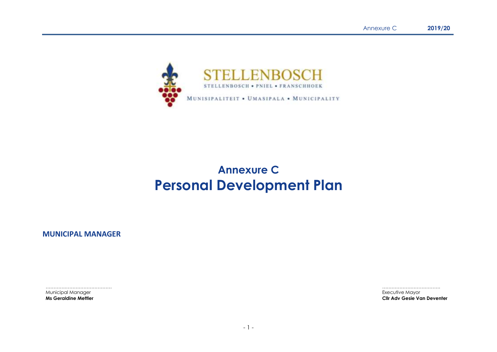

# **Annexure C Personal Development Plan**

**MUNICIPAL MANAGER**

Municipal Manager **Ms Geraldine Mettler**

……………………………………………

……………………………………… Executive Mayor **Cllr Adv Gesie Van Deventer**